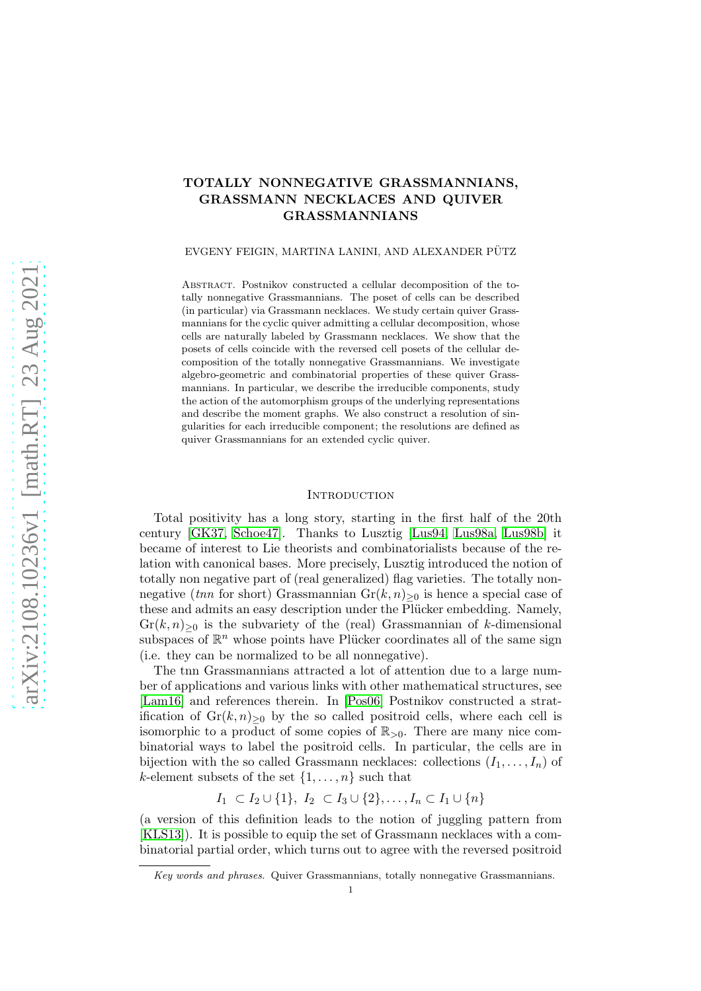# TOTALLY NONNEGATIVE GRASSMANNIANS, GRASSMANN NECKLACES AND QUIVER GRASSMANNIANS

### EVGENY FEIGIN, MARTINA LANINI, AND ALEXANDER PÜTZ

Abstract. Postnikov constructed a cellular decomposition of the totally nonnegative Grassmannians. The poset of cells can be described (in particular) via Grassmann necklaces. We study certain quiver Grassmannians for the cyclic quiver admitting a cellular decomposition, whose cells are naturally labeled by Grassmann necklaces. We show that the posets of cells coincide with the reversed cell posets of the cellular decomposition of the totally nonnegative Grassmannians. We investigate algebro-geometric and combinatorial properties of these quiver Grassmannians. In particular, we describe the irreducible components, study the action of the automorphism groups of the underlying representations and describe the moment graphs. We also construct a resolution of singularities for each irreducible component; the resolutions are defined as quiver Grassmannians for an extended cyclic quiver.

### **INTRODUCTION**

Total positivity has a long story, starting in the first half of the 20th century [\[GK37,](#page-31-0) [Schoe47\]](#page-32-0). Thanks to Lusztig [\[Lus94,](#page-32-1) [Lus98a,](#page-32-2) [Lus98b\]](#page-32-3) it became of interest to Lie theorists and combinatorialists because of the relation with canonical bases. More precisely, Lusztig introduced the notion of totally non negative part of (real generalized) flag varieties. The totally nonnegative (tnn for short) Grassmannian  $Gr(k, n)_{\geq 0}$  is hence a special case of these and admits an easy description under the Plücker embedding. Namely,  $Gr(k, n)_{\geq 0}$  is the subvariety of the (real) Grassmannian of k-dimensional subspaces of  $\mathbb{R}^n$  whose points have Plücker coordinates all of the same sign (i.e. they can be normalized to be all nonnegative).

The tnn Grassmannians attracted a lot of attention due to a large number of applications and various links with other mathematical structures, see [\[Lam16\]](#page-31-1) and references therein. In [\[Pos06\]](#page-32-4) Postnikov constructed a stratification of  $\text{Gr}(k,n)_{\geq 0}$  by the so called positroid cells, where each cell is isomorphic to a product of some copies of  $\mathbb{R}_{>0}$ . There are many nice combinatorial ways to label the positroid cells. In particular, the cells are in bijection with the so called Grassmann necklaces: collections  $(I_1, \ldots, I_n)$  of k-element subsets of the set  $\{1, \ldots, n\}$  such that

 $I_1 \subset I_2 \cup \{1\}, I_2 \subset I_3 \cup \{2\}, \ldots, I_n \subset I_1 \cup \{n\}$ 

(a version of this definition leads to the notion of juggling pattern from [\[KLS13\]](#page-31-2)). It is possible to equip the set of Grassmann necklaces with a combinatorial partial order, which turns out to agree with the reversed positroid

Key words and phrases. Quiver Grassmannians, totally nonnegative Grassmannians.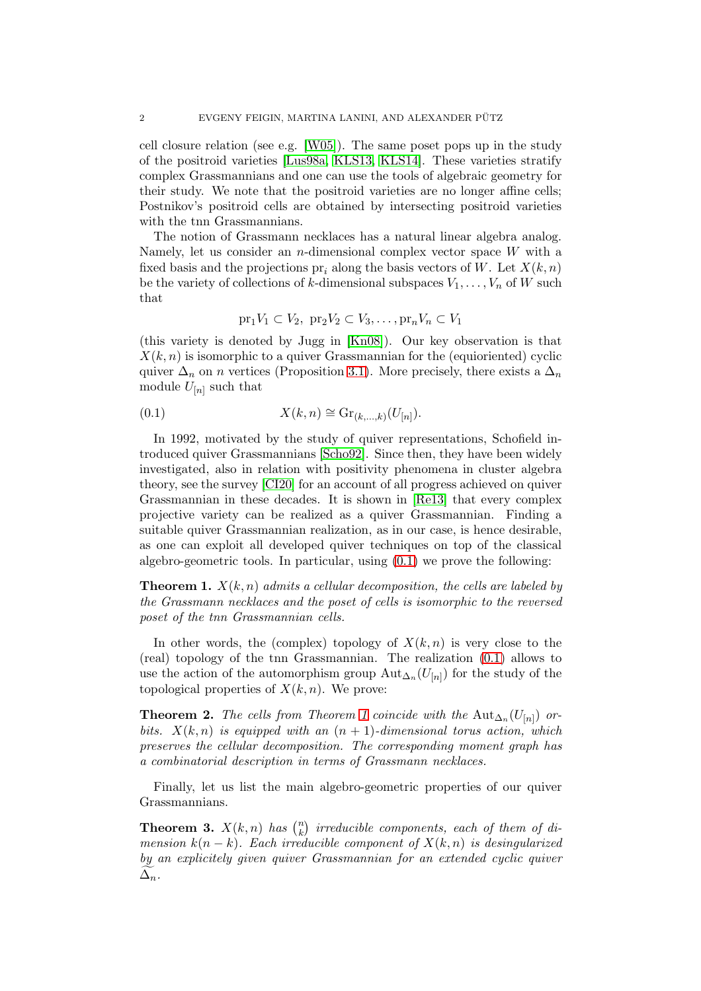cell closure relation (see e.g. [\[W05\]](#page-32-5)). The same poset pops up in the study of the positroid varieties [\[Lus98a,](#page-32-2) [KLS13,](#page-31-2) [KLS14\]](#page-31-3). These varieties stratify complex Grassmannians and one can use the tools of algebraic geometry for their study. We note that the positroid varieties are no longer affine cells; Postnikov's positroid cells are obtained by intersecting positroid varieties with the tnn Grassmannians.

The notion of Grassmann necklaces has a natural linear algebra analog. Namely, let us consider an *n*-dimensional complex vector space  $W$  with a fixed basis and the projections pr<sub>i</sub> along the basis vectors of W. Let  $X(k, n)$ be the variety of collections of k-dimensional subspaces  $V_1, \ldots, V_n$  of W such that

<span id="page-1-0"></span>
$$
\mathrm{pr}_1 V_1 \subset V_2, \ \mathrm{pr}_2 V_2 \subset V_3, \dots, \mathrm{pr}_n V_n \subset V_1
$$

(this variety is denoted by Jugg in [\[Kn08\]](#page-31-4)). Our key observation is that  $X(k, n)$  is isomorphic to a quiver Grassmannian for the (equioriented) cyclic quiver  $\Delta_n$  on n vertices (Proposition [3.1\)](#page-8-0). More precisely, there exists a  $\Delta_n$ module  $U_{[n]}$  such that

(0.1) 
$$
X(k,n) \cong \mathrm{Gr}_{(k,\ldots,k)}(U_{[n]}).
$$

In 1992, motivated by the study of quiver representations, Schofield introduced quiver Grassmannians [\[Scho92\]](#page-32-6). Since then, they have been widely investigated, also in relation with positivity phenomena in cluster algebra theory, see the survey [\[CI20\]](#page-31-5) for an account of all progress achieved on quiver Grassmannian in these decades. It is shown in [\[Re13\]](#page-32-7) that every complex projective variety can be realized as a quiver Grassmannian. Finding a suitable quiver Grassmannian realization, as in our case, is hence desirable, as one can exploit all developed quiver techniques on top of the classical algebro-geometric tools. In particular, using  $(0.1)$  we prove the following:

<span id="page-1-1"></span>**Theorem 1.**  $X(k, n)$  admits a cellular decomposition, the cells are labeled by the Grassmann necklaces and the poset of cells is isomorphic to the reversed poset of the tnn Grassmannian cells.

In other words, the (complex) topology of  $X(k, n)$  is very close to the (real) topology of the tnn Grassmannian. The realization [\(0.1\)](#page-1-0) allows to use the action of the automorphism group  $\mathrm{Aut}_{\Delta_n}(U_{[n]})$  for the study of the topological properties of  $X(k, n)$ . We prove:

**Theorem 2.** The cells from Theorem [1](#page-1-1) coincide with the  $\text{Aut}_{\Delta_n}(U_{[n]})$  orbits.  $X(k,n)$  is equipped with an  $(n+1)$ -dimensional torus action, which preserves the cellular decomposition. The corresponding moment graph has a combinatorial description in terms of Grassmann necklaces.

Finally, let us list the main algebro-geometric properties of our quiver Grassmannians.

**Theorem 3.**  $X(k,n)$  has  $\binom{n}{k}$  $\binom{n}{k}$  irreducible components, each of them of dimension  $k(n - k)$ . Each irreducible component of  $X(k, n)$  is desingularized by an explicitely given quiver Grassmannian for an extended cyclic quiver  $\Delta_n$ .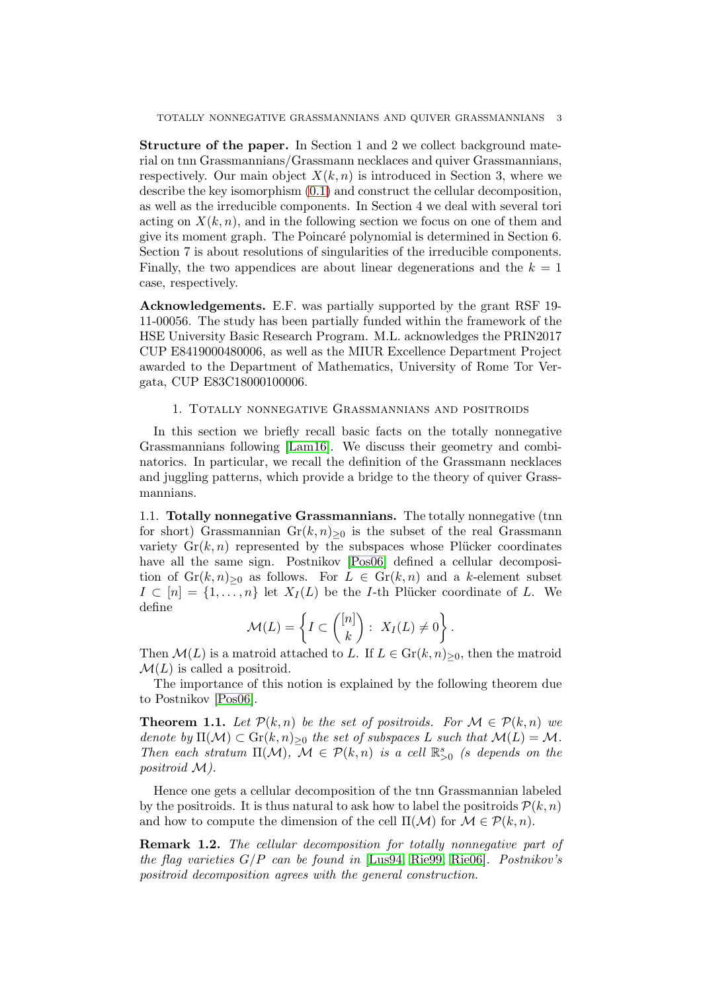Structure of the paper. In Section 1 and 2 we collect background material on tnn Grassmannians/Grassmann necklaces and quiver Grassmannians, respectively. Our main object  $X(k, n)$  is introduced in Section 3, where we describe the key isomorphism [\(0.1\)](#page-1-0) and construct the cellular decomposition, as well as the irreducible components. In Section 4 we deal with several tori acting on  $X(k, n)$ , and in the following section we focus on one of them and give its moment graph. The Poincar´e polynomial is determined in Section 6. Section 7 is about resolutions of singularities of the irreducible components. Finally, the two appendices are about linear degenerations and the  $k = 1$ case, respectively.

Acknowledgements. E.F. was partially supported by the grant RSF 19- 11-00056. The study has been partially funded within the framework of the HSE University Basic Research Program. M.L. acknowledges the PRIN2017 CUP E8419000480006, as well as the MIUR Excellence Department Project awarded to the Department of Mathematics, University of Rome Tor Vergata, CUP E83C18000100006.

### 1. Totally nonnegative Grassmannians and positroids

In this section we briefly recall basic facts on the totally nonnegative Grassmannians following [\[Lam16\]](#page-31-1). We discuss their geometry and combinatorics. In particular, we recall the definition of the Grassmann necklaces and juggling patterns, which provide a bridge to the theory of quiver Grassmannians.

1.1. Totally nonnegative Grassmannians. The totally nonnegative (tnn for short) Grassmannian  $\text{Gr}(k,n)_{\geq 0}$  is the subset of the real Grassmann variety  $\mathrm{Gr}(k,n)$  represented by the subspaces whose Plücker coordinates have all the same sign. Postnikov [\[Pos06\]](#page-32-4) defined a cellular decomposition of  $\text{Gr}(k,n)_{\geq 0}$  as follows. For  $L \in \text{Gr}(k,n)$  and a k-element subset  $I \subset [n] = \{1, \ldots, n\}$  let  $X_I(L)$  be the *I*-th Plücker coordinate of *L*. We define

$$
\mathcal{M}(L) = \left\{ I \subset \binom{[n]}{k} : X_I(L) \neq 0 \right\}.
$$

Then  $\mathcal{M}(L)$  is a matroid attached to L. If  $L \in \mathrm{Gr}(k,n)_{\geq 0}$ , then the matroid  $\mathcal{M}(L)$  is called a positroid.

The importance of this notion is explained by the following theorem due to Postnikov [\[Pos06\]](#page-32-4).

**Theorem 1.1.** Let  $\mathcal{P}(k,n)$  be the set of positroids. For  $\mathcal{M} \in \mathcal{P}(k,n)$  we denote by  $\Pi(\mathcal{M}) \subset \mathrm{Gr}(k,n)_{\geq 0}$  the set of subspaces L such that  $\mathcal{M}(L) = \mathcal{M}$ . Then each stratum  $\Pi(\mathcal{M})$ ,  $\mathcal{M} \in \mathcal{P}(k,n)$  is a cell  $\mathbb{R}_{>0}^s$  (s depends on the positroid M).

Hence one gets a cellular decomposition of the tnn Grassmannian labeled by the positroids. It is thus natural to ask how to label the positroids  $\mathcal{P}(k, n)$ and how to compute the dimension of the cell  $\Pi(\mathcal{M})$  for  $\mathcal{M} \in \mathcal{P}(k,n)$ .

Remark 1.2. The cellular decomposition for totally nonnegative part of the flag varieties  $G/P$  can be found in [\[Lus94,](#page-32-1) [Rie99,](#page-32-8) [Rie06\]](#page-32-9). Postnikov's positroid decomposition agrees with the general construction.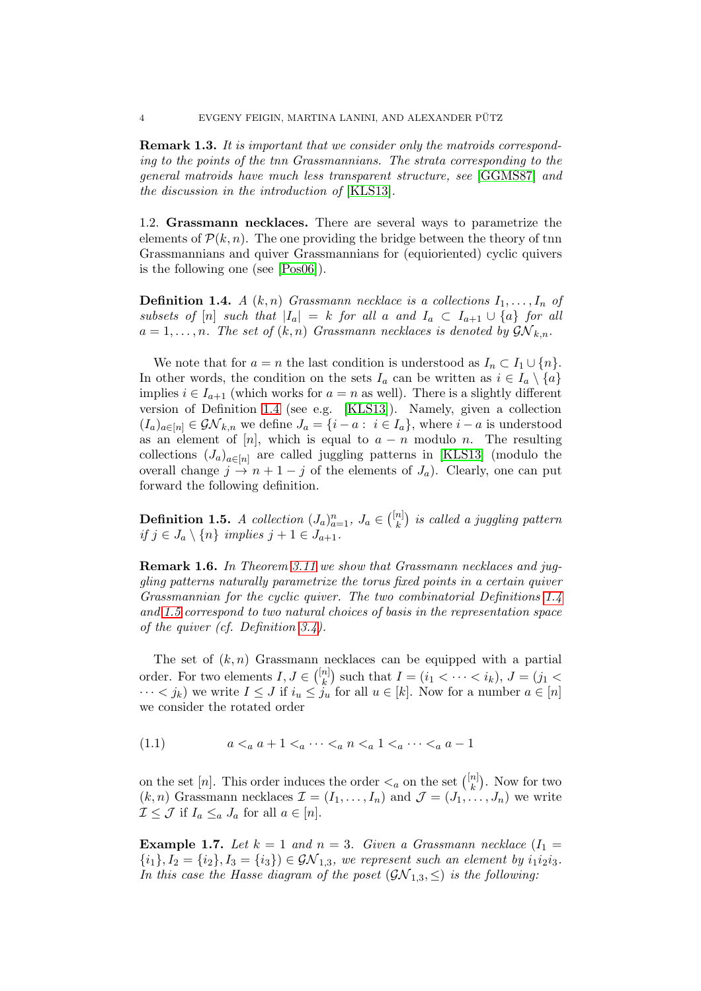**Remark 1.3.** It is important that we consider only the matroids corresponding to the points of the tnn Grassmannians. The strata corresponding to the general matroids have much less transparent structure, see [\[GGMS87\]](#page-31-6) and the discussion in the introduction of [\[KLS13\]](#page-31-2).

<span id="page-3-2"></span>1.2. Grassmann necklaces. There are several ways to parametrize the elements of  $\mathcal{P}(k, n)$ . The one providing the bridge between the theory of tnn Grassmannians and quiver Grassmannians for (equioriented) cyclic quivers is the following one (see [\[Pos06\]](#page-32-4)).

<span id="page-3-0"></span>**Definition 1.4.** A  $(k, n)$  Grassmann necklace is a collections  $I_1, \ldots, I_n$  of subsets of [n] such that  $|I_a| = k$  for all a and  $I_a \subset I_{a+1} \cup \{a\}$  for all  $a = 1, \ldots, n$ . The set of  $(k, n)$  Grassmann necklaces is denoted by  $\mathcal{GN}_{k,n}$ .

We note that for  $a = n$  the last condition is understood as  $I_n \subset I_1 \cup \{n\}.$ In other words, the condition on the sets  $I_a$  can be written as  $i \in I_a \setminus \{a\}$ implies  $i \in I_{a+1}$  (which works for  $a = n$  as well). There is a slightly different version of Definition [1.4](#page-3-0) (see e.g. [\[KLS13\]](#page-31-2)). Namely, given a collection  $(I_a)_{a \in [n]} \in \mathcal{GN}_{k,n}$  we define  $J_a = \{i - a : i \in I_a\}$ , where  $i - a$  is understood as an element of [n], which is equal to  $a - n$  modulo n. The resulting collections  $(J_a)_{a\in[n]}$  are called juggling patterns in [\[KLS13\]](#page-31-2) (modulo the overall change  $j \to n+1-j$  of the elements of  $J_a$ ). Clearly, one can put forward the following definition.

<span id="page-3-1"></span>**Definition 1.5.** A collection  $(J_a)_{a=1}^n$ ,  $J_a \in \binom{[n]}{k}$  ${n \brack k}$  is called a juggling pattern if  $j \in J_a \setminus \{n\}$  implies  $j + 1 \in J_{a+1}$ .

**Remark 1.6.** In Theorem [3.11](#page-11-0) we show that Grassmann necklaces and juggling patterns naturally parametrize the torus fixed points in a certain quiver Grassmannian for the cyclic quiver. The two combinatorial Definitions [1.4](#page-3-0) and [1.5](#page-3-1) correspond to two natural choices of basis in the representation space of the quiver (cf. Definition 3.4).

The set of  $(k, n)$  Grassmann necklaces can be equipped with a partial order. For two elements  $I, J \in \binom{[n]}{k}$  ${k \choose k}$  such that  $I = (i_1 < \cdots < i_k), J = (j_1 <$  $\cdots < j_k$ ) we write  $I \leq J$  if  $i_u \leq j_u$  for all  $u \in [k]$ . Now for a number  $a \in [n]$ we consider the rotated order

<span id="page-3-3"></span>(1.1) 
$$
a <_a a + 1 <_a \cdots <_a n <_a 1 <_a \cdots <_a a - 1
$$

on the set [n]. This order induces the order  $\lt_a$  on the set  $\binom{[n]}{k}$  $\binom{n}{k}$ . Now for two  $(k, n)$  Grassmann necklaces  $\mathcal{I} = (I_1, \ldots, I_n)$  and  $\mathcal{J} = (J_1, \ldots, J_n)$  we write  $\mathcal{I} \leq \mathcal{J}$  if  $I_a \leq_a J_a$  for all  $a \in [n]$ .

<span id="page-3-4"></span>**Example 1.7.** Let  $k = 1$  and  $n = 3$ . Given a Grassmann necklace  $(I_1 =$  ${i_1}, I_2 = {i_2}, I_3 = {i_3}$   $\in \mathcal{GN}_{1,3}$ , we represent such an element by  $i_1 i_2 i_3$ . In this case the Hasse diagram of the poset  $(\mathcal{GN}_{1,3}, \leq)$  is the following: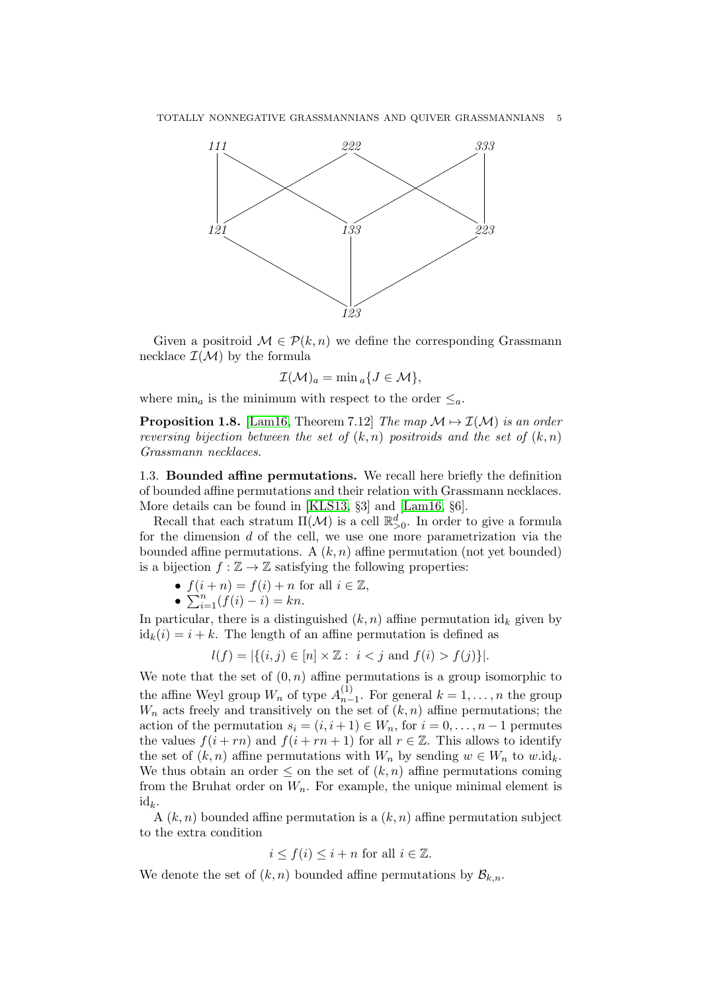

Given a positroid  $\mathcal{M} \in \mathcal{P}(k,n)$  we define the corresponding Grassmann necklace  $\mathcal{I}(\mathcal{M})$  by the formula

$$
\mathcal{I}(\mathcal{M})_a = \min a \{ J \in \mathcal{M} \},
$$

where  $\min_a$  is the minimum with respect to the order  $\leq_a$ .

**Proposition 1.8.** [\[Lam16,](#page-31-1) Theorem 7.12] The map  $\mathcal{M} \mapsto \mathcal{I}(\mathcal{M})$  is an order reversing bijection between the set of  $(k, n)$  positroids and the set of  $(k, n)$ Grassmann necklaces.

<span id="page-4-0"></span>1.3. Bounded affine permutations. We recall here briefly the definition of bounded affine permutations and their relation with Grassmann necklaces. More details can be found in [\[KLS13,](#page-31-2) §3] and [\[Lam16,](#page-31-1) §6].

Recall that each stratum  $\Pi(\mathcal{M})$  is a cell  $\mathbb{R}_{>0}^d$ . In order to give a formula for the dimension  $d$  of the cell, we use one more parametrization via the bounded affine permutations. A  $(k, n)$  affine permutation (not yet bounded) is a bijection  $f : \mathbb{Z} \to \mathbb{Z}$  satisfying the following properties:

- $f(i + n) = f(i) + n$  for all  $i \in \mathbb{Z}$ ,
- $\sum_{i=1}^{n} (f(i) i) = kn$ .

In particular, there is a distinguished  $(k, n)$  affine permutation  $id_k$  given by  $id_k(i) = i + k$ . The length of an affine permutation is defined as

$$
l(f) = |\{(i, j) \in [n] \times \mathbb{Z} : i < j \text{ and } f(i) > f(j)\}|.
$$

We note that the set of  $(0, n)$  affine permutations is a group isomorphic to the affine Weyl group  $W_n$  of type  $A_{n-}^{(1)}$  $_{n-1}^{(1)}$ . For general  $k = 1, \ldots, n$  the group  $W_n$  acts freely and transitively on the set of  $(k, n)$  affine permutations; the action of the permutation  $s_i = (i, i + 1) \in W_n$ , for  $i = 0, \ldots, n - 1$  permutes the values  $f(i + rn)$  and  $f(i + rn + 1)$  for all  $r \in \mathbb{Z}$ . This allows to identify the set of  $(k, n)$  affine permutations with  $W_n$  by sending  $w \in W_n$  to  $w \cdot id_k$ . We thus obtain an order  $\leq$  on the set of  $(k, n)$  affine permutations coming from the Bruhat order on  $W_n$ . For example, the unique minimal element is  $id_k$ .

A  $(k, n)$  bounded affine permutation is a  $(k, n)$  affine permutation subject to the extra condition

$$
i \le f(i) \le i + n
$$
 for all  $i \in \mathbb{Z}$ .

We denote the set of  $(k, n)$  bounded affine permutations by  $\mathcal{B}_{k,n}$ .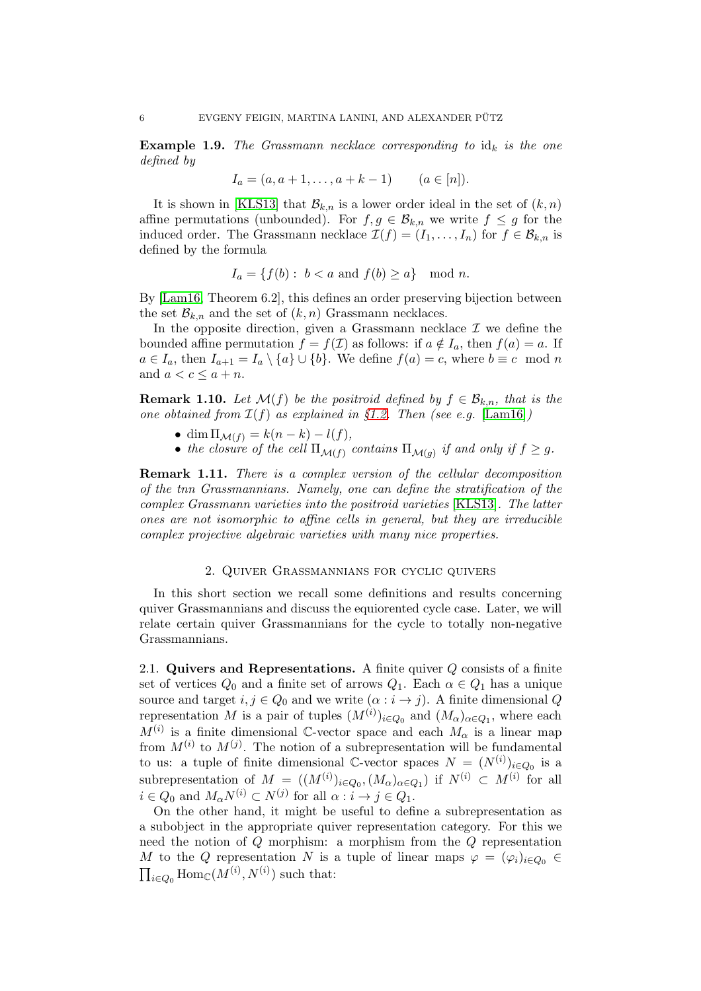**Example 1.9.** The Grassmann necklace corresponding to  $id_k$  is the one defined by

$$
I_a = (a, a + 1, \dots, a + k - 1) \qquad (a \in [n]).
$$

It is shown in [\[KLS13\]](#page-31-2) that  $\mathcal{B}_{k,n}$  is a lower order ideal in the set of  $(k, n)$ affine permutations (unbounded). For  $f, g \in \mathcal{B}_{k,n}$  we write  $f \leq g$  for the induced order. The Grassmann necklace  $\mathcal{I}(f) = (I_1, \ldots, I_n)$  for  $f \in \mathcal{B}_{k,n}$  is defined by the formula

$$
I_a = \{ f(b) : b < a \text{ and } f(b) \ge a \} \mod n.
$$

By [\[Lam16,](#page-31-1) Theorem 6.2], this defines an order preserving bijection between the set  $\mathcal{B}_{k,n}$  and the set of  $(k,n)$  Grassmann necklaces.

In the opposite direction, given a Grassmann necklace  $\mathcal I$  we define the bounded affine permutation  $f = f(\mathcal{I})$  as follows: if  $a \notin I_a$ , then  $f(a) = a$ . If  $a \in I_a$ , then  $I_{a+1} = I_a \setminus \{a\} \cup \{b\}$ . We define  $f(a) = c$ , where  $b \equiv c \mod n$ and  $a < c \leq a + n$ .

<span id="page-5-0"></span>**Remark 1.10.** Let  $\mathcal{M}(f)$  be the positroid defined by  $f \in \mathcal{B}_{k,n}$ , that is the one obtained from  $\mathcal{I}(f)$  as explained in §[1.2.](#page-3-2) Then (see e.g. [\[Lam16\]](#page-31-1))

- dim  $\Pi_{\mathcal{M}(f)} = k(n-k) l(f)$ ,
- the closure of the cell  $\Pi_{\mathcal{M}(f)}$  contains  $\Pi_{\mathcal{M}(g)}$  if and only if  $f \geq g$ .

Remark 1.11. There is a complex version of the cellular decomposition of the tnn Grassmannians. Namely, one can define the stratification of the complex Grassmann varieties into the positroid varieties [\[KLS13\]](#page-31-2). The latter ones are not isomorphic to affine cells in general, but they are irreducible complex projective algebraic varieties with many nice properties.

### 2. Quiver Grassmannians for cyclic quivers

In this short section we recall some definitions and results concerning quiver Grassmannians and discuss the equiorented cycle case. Later, we will relate certain quiver Grassmannians for the cycle to totally non-negative Grassmannians.

2.1. Quivers and Representations. A finite quiver  $Q$  consists of a finite set of vertices  $Q_0$  and a finite set of arrows  $Q_1$ . Each  $\alpha \in Q_1$  has a unique source and target  $i, j \in Q_0$  and we write  $(\alpha : i \to j)$ . A finite dimensional Q representation M is a pair of tuples  $(M^{(i)})_{i \in Q_0}$  and  $(M_\alpha)_{\alpha \in Q_1}$ , where each  $M^{(i)}$  is a finite dimensional C-vector space and each  $M_{\alpha}$  is a linear map from  $M^{(i)}$  to  $M^{(j)}$ . The notion of a subrepresentation will be fundamental to us: a tuple of finite dimensional  $\mathbb{C}\text{-vector spaces } N = (N^{(i)})_{i \in Q_0}$  is a subrepresentation of  $M = ((M^{(i)})_{i \in Q_0}, (M_\alpha)_{\alpha \in Q_1})$  if  $N^{(i)} \subset M^{(i)}$  for all  $i \in Q_0$  and  $M_\alpha N^{(i)} \subset N^{(j)}$  for all  $\alpha : i \to j \in Q_1$ .

On the other hand, it might be useful to define a subrepresentation as a subobject in the appropriate quiver representation category. For this we need the notion of Q morphism: a morphism from the Q representation M to the Q representation N is a tuple of linear maps  $\varphi = (\varphi_i)_{i \in Q_0} \in$  $\prod_{i\in Q_0} \text{Hom}_{\mathbb{C}}(M^{(i)}, N^{(i)})$  such that: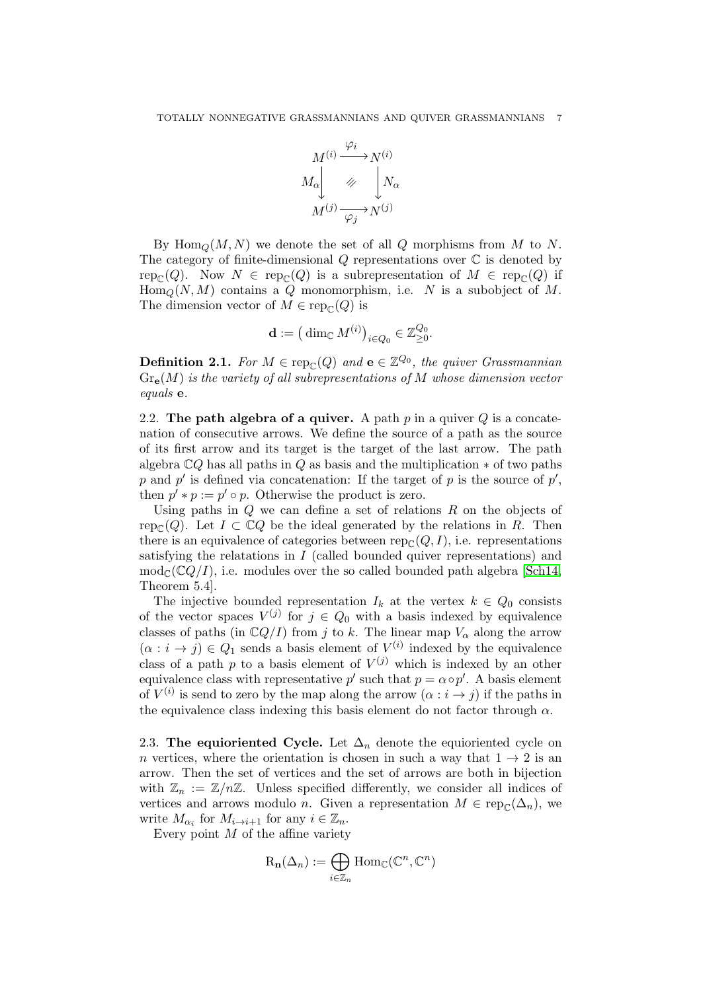

By  $\text{Hom}_Q(M, N)$  we denote the set of all Q morphisms from M to N. The category of finite-dimensional  $Q$  representations over  $\mathbb C$  is denoted by rep<sub>C</sub>(Q). Now  $N \in \text{rep}_\mathbb{C}(Q)$  is a subrepresentation of  $M \in \text{rep}_\mathbb{C}(Q)$  if  $\text{Hom}_Q(N, M)$  contains a Q monomorphism, i.e. N is a subobject of M. The dimension vector of  $M \in \text{rep}_{\mathbb{C}}(Q)$  is

$$
\mathbf{d} := \left(\dim_{\mathbb{C}} M^{(i)}\right)_{i \in Q_0} \in \mathbb{Z}_{\geq 0}^{Q_0}.
$$

**Definition 2.1.** For  $M \in \text{rep}_{\mathbb{C}}(Q)$  and  $e \in \mathbb{Z}^{Q_0}$ , the quiver Grassmannian  $Gr_{\mathbf{e}}(M)$  is the variety of all subrepresentations of M whose dimension vector equals e.

2.2. The path algebra of a quiver. A path  $p$  in a quiver  $Q$  is a concatenation of consecutive arrows. We define the source of a path as the source of its first arrow and its target is the target of the last arrow. The path algebra  $\mathbb{C}Q$  has all paths in Q as basis and the multiplication  $*$  of two paths p and p' is defined via concatenation: If the target of p is the source of  $p'$ , then  $p' * p := p' \circ p$ . Otherwise the product is zero.

Using paths in  $Q$  we can define a set of relations  $R$  on the objects of rep<sub> $\mathcal{C}(Q)$ </sub>. Let  $I \subset \mathbb{C}Q$  be the ideal generated by the relations in R. Then there is an equivalence of categories between  $\text{rep}_{\mathcal{C}}(Q, I)$ , i.e. representations satisfying the relatations in  $I$  (called bounded quiver representations) and  $\text{mod}_{\mathbb{C}}(\mathbb{C}Q/I)$ , i.e. modules over the so called bounded path algebra [\[Sch14,](#page-32-10) Theorem 5.4].

The injective bounded representation  $I_k$  at the vertex  $k \in Q_0$  consists of the vector spaces  $V^{(j)}$  for  $j \in Q_0$  with a basis indexed by equivalence classes of paths (in  $\mathbb{C}Q/I$ ) from j to k. The linear map  $V_{\alpha}$  along the arrow  $(\alpha : i \to j) \in Q_1$  sends a basis element of  $V^{(i)}$  indexed by the equivalence class of a path p to a basis element of  $V^{(j)}$  which is indexed by an other equivalence class with representative  $p'$  such that  $p = \alpha \circ p'$ . A basis element of  $V^{(i)}$  is send to zero by the map along the arrow  $(\alpha : i \to j)$  if the paths in the equivalence class indexing this basis element do not factor through  $\alpha$ .

<span id="page-6-0"></span>2.3. The equioriented Cycle. Let  $\Delta_n$  denote the equioriented cycle on n vertices, where the orientation is chosen in such a way that  $1 \rightarrow 2$  is an arrow. Then the set of vertices and the set of arrows are both in bijection with  $\mathbb{Z}_n := \mathbb{Z}/n\mathbb{Z}$ . Unless specified differently, we consider all indices of vertices and arrows modulo *n*. Given a representation  $M \in \text{rep}_{\mathcal{C}}(\Delta_n)$ , we write  $M_{\alpha_i}$  for  $M_{i\to i+1}$  for any  $i \in \mathbb{Z}_n$ .

Every point  $M$  of the affine variety

$$
\mathrm{R}_{\mathbf{n}}(\Delta_n) := \bigoplus_{i \in \mathbb{Z}_n} \mathrm{Hom}_{\mathbb{C}}(\mathbb{C}^n, \mathbb{C}^n)
$$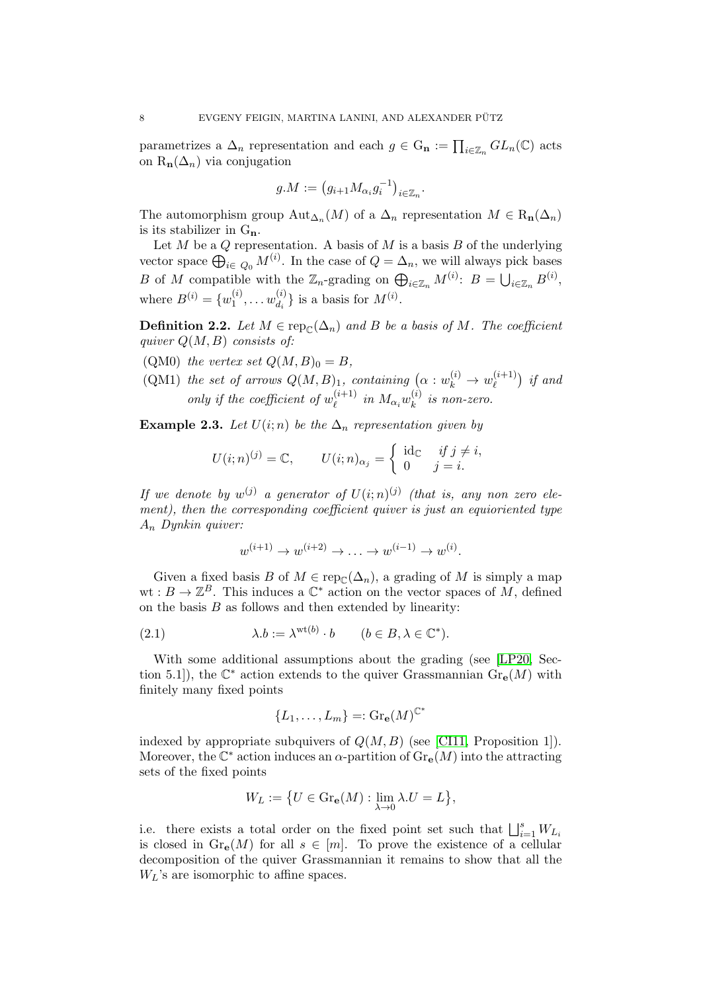parametrizes a  $\Delta_n$  representation and each  $g \in G_n := \prod_{i \in \mathbb{Z}_n} GL_n(\mathbb{C})$  acts on  $R_n(\Delta_n)$  via conjugation

$$
g.M := (g_{i+1}M_{\alpha_i}g_i^{-1})_{i \in \mathbb{Z}_n}.
$$

The automorphism group  $\text{Aut}_{\Delta_n}(M)$  of a  $\Delta_n$  representation  $M \in \text{R}_{n}(\Delta_n)$ is its stabilizer in  $G_n$ .

Let  $M$  be a  $Q$  representation. A basis of  $M$  is a basis  $B$  of the underlying vector space  $\bigoplus_{i \in Q_0} M^{(i)}$ . In the case of  $Q = \Delta_n$ , we will always pick bases B of M compatible with the  $\mathbb{Z}_n$ -grading on  $\bigoplus_{i\in\mathbb{Z}_n} M^{(i)}$ :  $B = \bigcup_{i\in\mathbb{Z}_n} B^{(i)}$ , where  $B^{(i)} = \{w_1^{(i)}\}$  $u_1^{(i)}, \ldots u_{d_i}^{(i)}$  $\begin{bmatrix} (i) \\ d_i \end{bmatrix}$  is a basis for  $M^{(i)}$ .

**Definition 2.2.** Let  $M \in \operatorname{rep}_{\mathbb{C}}(\Delta_n)$  and B be a basis of M. The coefficient quiver  $Q(M, B)$  consists of:

(QM0) the vertex set  $Q(M, B)_0 = B$ ,

(QM1) the set of arrows  $Q(M, B)_1$ , containing  $(\alpha : w_k^{(i)} \to w_\ell^{(i+1)})$  $\binom{(i+1)}{\ell}$  if and only if the coefficient of  $w_{\ell}^{(i+1)}$  $\binom{(i+1)}{\ell}$  in  $M_{\alpha_i}w_k^{(i)}$  $\binom{v}{k}$  is non-zero.

<span id="page-7-0"></span>Example 2.3. Let  $U(i; n)$  be the  $\Delta_n$  representation given by

$$
U(i; n)^{(j)} = \mathbb{C}, \qquad U(i; n)_{\alpha_j} = \begin{cases} \text{ id}_{\mathbb{C}} & \text{ if } j \neq i, \\ 0 & j = i. \end{cases}
$$

If we denote by  $w^{(j)}$  a generator of  $U(i; n)^{(j)}$  (that is, any non zero element), then the corresponding coefficient quiver is just an equioriented type  $A_n$  Dynkin quiver:

$$
w^{(i+1)} \to w^{(i+2)} \to \dots \to w^{(i-1)} \to w^{(i)}.
$$

Given a fixed basis B of  $M \in \operatorname{rep}_{\mathcal{C}}(\Delta_n)$ , a grading of M is simply a map  $wt: B \to \mathbb{Z}^B$ . This induces a  $\mathbb{C}^*$  action on the vector spaces of M, defined on the basis  $B$  as follows and then extended by linearity:

(2.1) 
$$
\lambda.b := \lambda^{\text{wt}(b)} \cdot b \qquad (b \in B, \lambda \in \mathbb{C}^*).
$$

With some additional assumptions about the grading (see [\[LP20,](#page-31-7) Section 5.1, the  $\mathbb{C}^*$  action extends to the quiver Grassmannian  $\text{Gr}_{\mathbf{e}}(M)$  with finitely many fixed points

<span id="page-7-1"></span>
$$
\{L_1,\ldots,L_m\}=: \mathrm{Gr}_\mathbf{e}(M)^{\mathbb{C}^*}
$$

indexed by appropriate subquivers of  $Q(M, B)$  (see [\[CI11,](#page-31-8) Proposition 1]). Moreover, the  $\mathbb{C}^*$  action induces an  $\alpha$ -partition of  $\text{Gr}_{\mathbf{e}}(M)$  into the attracting sets of the fixed points

$$
W_L:=\big\{U\in\mathrm{Gr}_{\mathbf{e}}(M):\lim_{\lambda\to 0}\lambda.U=L\big\},
$$

i.e. there exists a total order on the fixed point set such that  $\bigsqcup_{i=1}^{s} W_{L_i}$ is closed in  $\text{Gr}_{\mathbf{e}}(M)$  for all  $s \in [m]$ . To prove the existence of a cellular decomposition of the quiver Grassmannian it remains to show that all the  $W_L$ 's are isomorphic to affine spaces.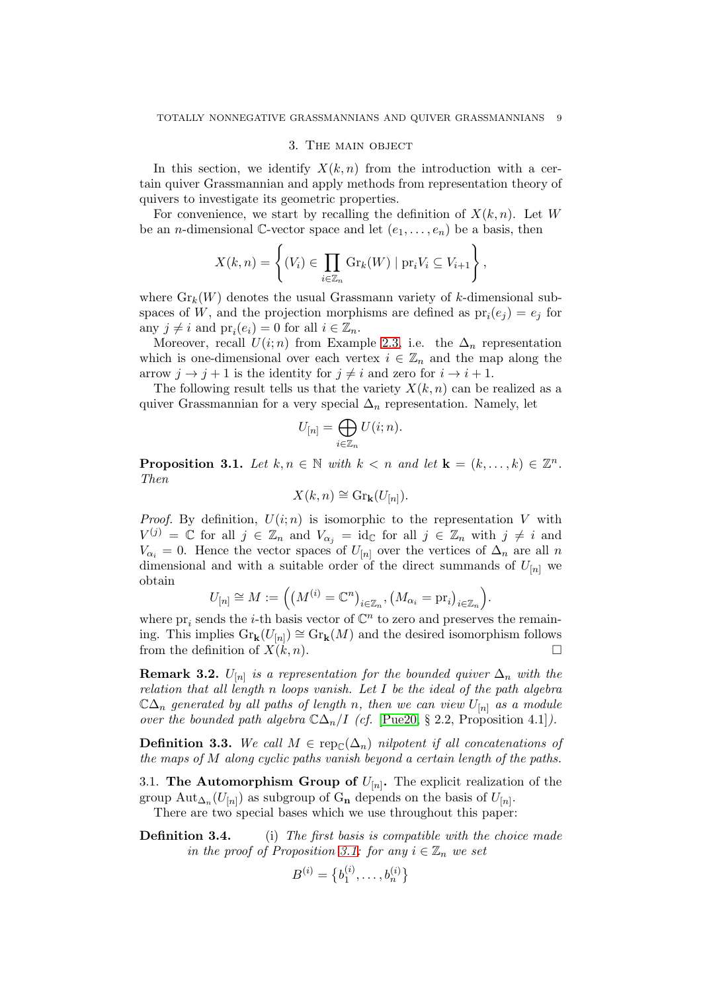### 3. The main object

<span id="page-8-2"></span>In this section, we identify  $X(k, n)$  from the introduction with a certain quiver Grassmannian and apply methods from representation theory of quivers to investigate its geometric properties.

For convenience, we start by recalling the definition of  $X(k, n)$ . Let W be an *n*-dimensional C-vector space and let  $(e_1, \ldots, e_n)$  be a basis, then

$$
X(k,n) = \left\{ (V_i) \in \prod_{i \in \mathbb{Z}_n} \mathrm{Gr}_k(W) \mid \mathrm{pr}_i V_i \subseteq V_{i+1} \right\},\
$$

where  $\mathrm{Gr}_k(W)$  denotes the usual Grassmann variety of k-dimensional subspaces of W, and the projection morphisms are defined as  $pr_i(e_j) = e_j$  for any  $j \neq i$  and  $\text{pr}_i(e_i) = 0$  for all  $i \in \mathbb{Z}_n$ .

Moreover, recall  $U(i; n)$  from Example [2.3,](#page-7-0) i.e. the  $\Delta_n$  representation which is one-dimensional over each vertex  $i \in \mathbb{Z}_n$  and the map along the arrow  $j \to j + 1$  is the identity for  $j \neq i$  and zero for  $i \to i + 1$ .

The following result tells us that the variety  $X(k, n)$  can be realized as a quiver Grassmannian for a very special  $\Delta_n$  representation. Namely, let

$$
U_{[n]} = \bigoplus_{i \in \mathbb{Z}_n} U(i;n).
$$

<span id="page-8-0"></span>**Proposition 3.1.** Let  $k, n \in \mathbb{N}$  with  $k < n$  and let  $\mathbf{k} = (k, \dots, k) \in \mathbb{Z}^n$ . Then

$$
X(k,n) \cong \mathrm{Gr}_{\mathbf{k}}(U_{[n]}).
$$

*Proof.* By definition,  $U(i; n)$  is isomorphic to the representation V with  $V^{(j)} = \mathbb{C}$  for all  $j \in \mathbb{Z}_n$  and  $V_{\alpha_j} = id_{\mathbb{C}}$  for all  $j \in \mathbb{Z}_n$  with  $j \neq i$  and  $V_{\alpha_i} = 0$ . Hence the vector spaces of  $U_{[n]}$  over the vertices of  $\Delta_n$  are all n dimensional and with a suitable order of the direct summands of  $U_{[n]}$  we obtain

$$
U_{[n]} \cong M := \Big( \big( M^{(i)} = \mathbb{C}^n \big)_{i \in \mathbb{Z}_n}, \big( M_{\alpha_i} = \mathrm{pr}_i \big)_{i \in \mathbb{Z}_n} \Big).
$$

where  ${\rm pr}_i$  sends the *i*-th basis vector of  $\mathbb{C}^n$  to zero and preserves the remaining. This implies  $\text{Gr}_{k}(U_{[n]}) \cong \text{Gr}_{k}(M)$  and the desired isomorphism follows from the definition of  $X(k, n)$ .

<span id="page-8-1"></span>**Remark 3.2.**  $U_{[n]}$  is a representation for the bounded quiver  $\Delta_n$  with the relation that all length n loops vanish. Let  $I$  be the ideal of the path algebra  $\mathbb{C}\Delta_n$  generated by all paths of length n, then we can view  $U_{[n]}$  as a module over the bounded path algebra  $\mathbb{C}\Delta_n/I$  (cf. [\[Pue20,](#page-32-11) § 2.2, Proposition 4.1]).

**Definition 3.3.** We call  $M \in \text{rep}_{\mathbb{C}}(\Delta_n)$  nilpotent if all concatenations of the maps of M along cyclic paths vanish beyond a certain length of the paths.

3.1. The Automorphism Group of  $U_{[n]}$ . The explicit realization of the group  $\text{Aut}_{\Delta_n}(U_{[n]})$  as subgroup of  $G_n$  depends on the basis of  $U_{[n]}$ .

There are two special bases which we use throughout this paper:

**Definition 3.4.** (i) The first basis is compatible with the choice made in the proof of Proposition [3.1:](#page-8-0) for any  $i \in \mathbb{Z}_n$  we set

$$
B^{(i)} = \left\{b_1^{(i)}, \ldots, b_n^{(i)}\right\}
$$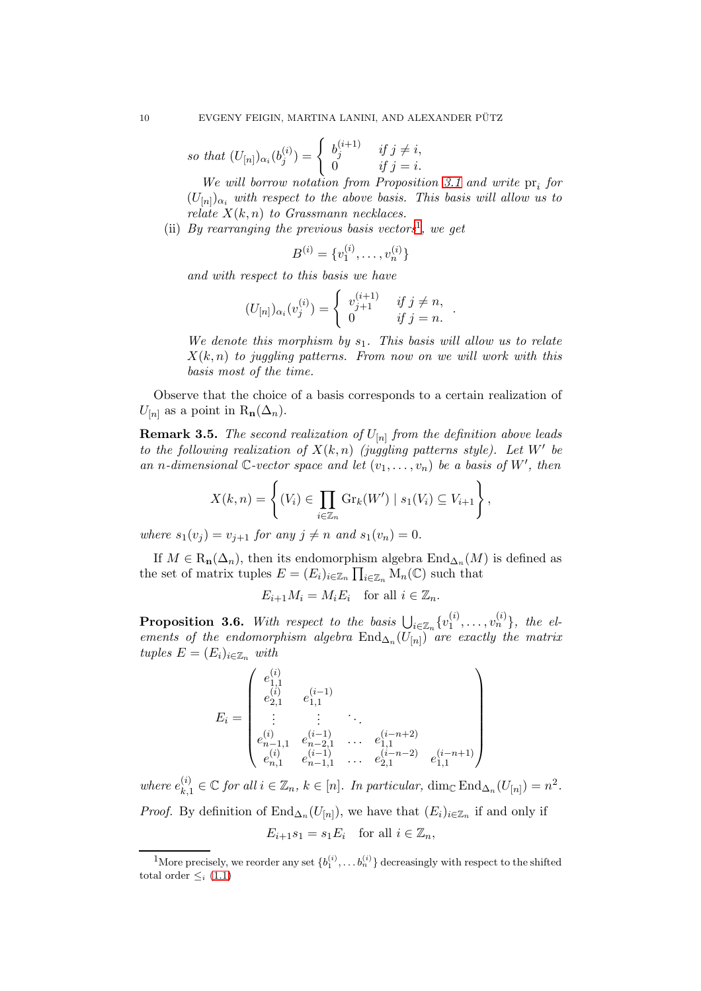so that 
$$
(U_{[n]})_{\alpha_i}(b_j^{(i)}) = \begin{cases} b_j^{(i+1)} & \text{if } j \neq i, \\ 0 & \text{if } j = i. \end{cases}
$$

We will borrow notation from Proposition [3.1](#page-8-0) and write  $pr_i$  for  $(U_{[n]})_{\alpha_i}$  with respect to the above basis. This basis will allow us to relate  $X(k, n)$  to Grassmann necklaces.

(ii) By rearranging the previous basis vectors<sup>[1](#page-9-0)</sup>, we get

$$
B^{(i)} = \{v_1^{(i)}, \dots, v_n^{(i)}\}
$$

and with respect to this basis we have

$$
(U_{[n]})_{\alpha_i}(v_j^{(i)}) = \begin{cases} v_{j+1}^{(i+1)} & \text{if } j \neq n, \\ 0 & \text{if } j = n. \end{cases}
$$

We denote this morphism by  $s_1$ . This basis will allow us to relate  $X(k, n)$  to juggling patterns. From now on we will work with this basis most of the time.

.

Observe that the choice of a basis corresponds to a certain realization of  $U_{[n]}$  as a point in  $\mathrm{R}_n(\Delta_n)$ .

**Remark 3.5.** The second realization of  $U_{[n]}$  from the definition above leads to the following realization of  $X(k,n)$  (juggling patterns style). Let  $W'$  be an n-dimensional  $\mathbb{C}\text{-vector space}$  and let  $(v_1,\ldots,v_n)$  be a basis of W', then

$$
X(k,n) = \left\{ (V_i) \in \prod_{i \in \mathbb{Z}_n} \mathrm{Gr}_k(W') \mid s_1(V_i) \subseteq V_{i+1} \right\},\
$$

where  $s_1(v_i) = v_{i+1}$  for any  $j \neq n$  and  $s_1(v_n) = 0$ .

If  $M \in \mathcal{R}_{n}(\Delta_{n})$ , then its endomorphism algebra  $\text{End}_{\Delta_{n}}(M)$  is defined as the set of matrix tuples  $E = (E_i)_{i \in \mathbb{Z}_n} \prod_{i \in \mathbb{Z}_n} M_n(\mathbb{C})$  such that

$$
E_{i+1}M_i = M_i E_i \quad \text{for all } i \in \mathbb{Z}_n.
$$

<span id="page-9-1"></span>**Proposition 3.6.** With respect to the basis  $\bigcup_{i\in\mathbb{Z}_n}\{v_1^{(i)}\}$  $\{ {i \choose 1}, \ldots, {v_n^{(i)}} \},$  the elements of the endomorphism algebra  $\text{End}_{\Delta_n}(U_{[n]})$  are exactly the matrix tuples  $E = (E_i)_{i \in \mathbb{Z}_n}$  with

$$
E_i = \begin{pmatrix} e_{1,1}^{(i)} & & & & \\ e_{2,1}^{(i)} & e_{1,1}^{(i-1)} & & & \\ \vdots & \vdots & \ddots & & \\ e_{n-1,1}^{(i)} & e_{n-2,1}^{(i-1)} & \dots & e_{1,1}^{(i-n+2)} \\ e_{n,1}^{(i)} & e_{n-1,1}^{(i-1)} & \dots & e_{2,1}^{(i-n-2)} & e_{1,1}^{(i-n+1)} \end{pmatrix}
$$

where  $e_{k,1}^{(i)} \in \mathbb{C}$  for all  $i \in \mathbb{Z}_n$ ,  $k \in [n]$ . In particular,  $\dim_{\mathbb{C}} \text{End}_{\Delta_n}(U_{[n]}) = n^2$ . *Proof.* By definition of  $\text{End}_{\Delta_n}(U_{[n]})$ , we have that  $(E_i)_{i\in\mathbb{Z}_n}$  if and only if  $E_{i+1}s_1 = s_1E_i$  for all  $i \in \mathbb{Z}_n$ ,

<span id="page-9-0"></span><sup>&</sup>lt;sup>1</sup>More precisely, we reorder any set  $\{b_1^{(i)}, \ldots b_n^{(i)}\}$  decreasingly with respect to the shifted total order  $\leq_i$  [\(1.1\)](#page-3-3)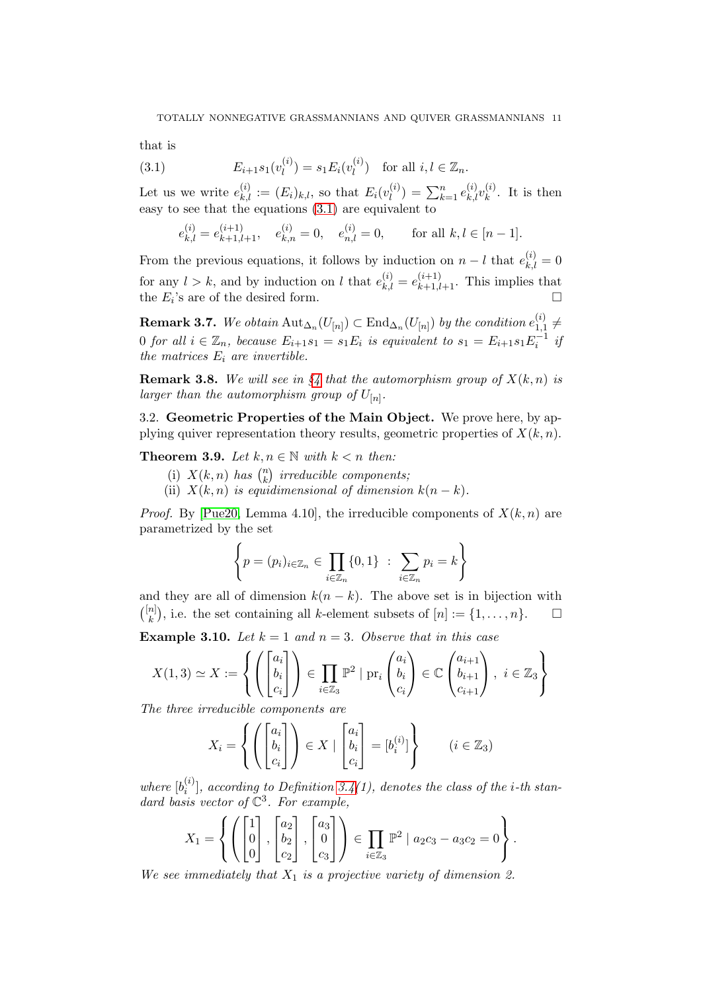that is

(3.1) 
$$
E_{i+1}s_1(v_l^{(i)}) = s_1E_i(v_l^{(i)}) \text{ for all } i, l \in \mathbb{Z}_n.
$$

Let us we write  $e_{k,l}^{(i)} := (E_i)_{k,l}$ , so that  $E_i(v_l^{(i)})$  $\binom{i}{l} = \sum_{k=1}^{n} e_{k,l}^{(i)} v_{k}^{(i)}$  $\binom{v}{k}$ . It is then easy to see that the equations [\(3.1\)](#page-10-0) are equivalent to

<span id="page-10-0"></span>
$$
e_{k,l}^{(i)} = e_{k+1,l+1}^{(i+1)}, \quad e_{k,n}^{(i)} = 0, \quad e_{n,l}^{(i)} = 0, \quad \text{for all } k, l \in [n-1].
$$

From the previous equations, it follows by induction on  $n - l$  that  $e_{k,l}^{(i)} = 0$ for any  $l > k$ , and by induction on l that  $e_{k,l}^{(i)} = e_{k+1,l+1}^{(i+1)}$ . This implies that the  $E_i$ 's are of the desired form.

 ${\bf Remark~3.7.} \ \ We \ obtain \ {\rm Aut}_{\Delta_n}(U_{[n]})\subset {\rm End}_{\Delta_n}(U_{[n]}) \ \ by \ the \ condition \ e_{1,1}^{(i)}$  $\binom{v}{1,1} \neq$ 0 for all  $i \in \mathbb{Z}_n$ , because  $E_{i+1}s_1 = s_1E_i$  is equivalent to  $s_1 = E_{i+1}s_1E_i^{-1}$  if the matrices  $E_i$  are invertible.

**Remark 3.8.** We will see in  $\S_4$  $\S_4$  that the automorphism group of  $X(k, n)$  is larger than the automorphism group of  $U_{[n]}.$ 

3.2. Geometric Properties of the Main Object. We prove here, by applying quiver representation theory results, geometric properties of  $X(k, n)$ .

<span id="page-10-1"></span>Theorem 3.9. Let  $k, n \in \mathbb{N}$  with  $k < n$  then:

- (i)  $X(k, n)$  has  $\binom{n}{k}$  $\binom{n}{k}$  irreducible components;
	- (ii)  $X(k,n)$  is equidimensional of dimension  $k(n-k)$ .

*Proof.* By [\[Pue20,](#page-32-11) Lemma 4.10], the irreducible components of  $X(k, n)$  are parametrized by the set

$$
\left\{ p = (p_i)_{i \in \mathbb{Z}_n} \in \prod_{i \in \mathbb{Z}_n} \{0, 1\} \ : \ \sum_{i \in \mathbb{Z}_n} p_i = k \right\}
$$

and they are all of dimension  $k(n - k)$ . The above set is in bijection with  $\binom{[n]}{k}$  $\mathbb{R}^{n}$ , i.e. the set containing all k-element subsets of  $[n] := \{1, \ldots, n\}.$ 

**Example 3.10.** Let  $k = 1$  and  $n = 3$ . Observe that in this case

$$
X(1,3) \simeq X := \left\{ \left( \begin{bmatrix} a_i \\ b_i \\ c_i \end{bmatrix} \right) \in \prod_{i \in \mathbb{Z}_3} \mathbb{P}^2 \mid \text{pr}_i \begin{pmatrix} a_i \\ b_i \\ c_i \end{pmatrix} \in \mathbb{C} \begin{pmatrix} a_{i+1} \\ b_{i+1} \\ c_{i+1} \end{pmatrix}, i \in \mathbb{Z}_3 \right\}
$$

The three irreducible components are

$$
X_i = \left\{ \left( \begin{bmatrix} a_i \\ b_i \\ c_i \end{bmatrix} \right) \in X \mid \begin{bmatrix} a_i \\ b_i \\ c_i \end{bmatrix} = [b_i^{(i)}] \right\} \qquad (i \in \mathbb{Z}_3)
$$

where  $[b_i^{(i)}]$  $\binom{[i]}{i}$ , according to Definition 3.4(1), denotes the class of the *i*-th standard basis vector of  $\mathbb{C}^3$ . For example,

$$
X_1 = \left\{ \left( \begin{bmatrix} 1 \\ 0 \\ 0 \end{bmatrix}, \begin{bmatrix} a_2 \\ b_2 \\ c_2 \end{bmatrix}, \begin{bmatrix} a_3 \\ 0 \\ c_3 \end{bmatrix} \right) \in \prod_{i \in \mathbb{Z}_3} \mathbb{P}^2 \mid a_2c_3 - a_3c_2 = 0 \right\}.
$$

We see immediately that  $X_1$  is a projective variety of dimension 2.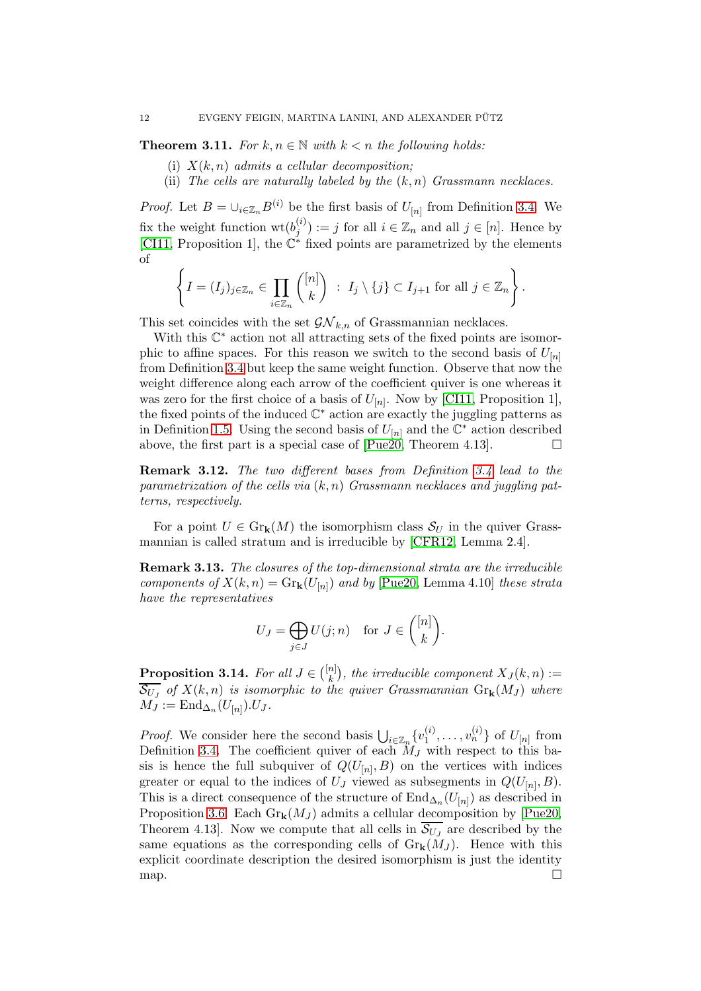<span id="page-11-0"></span>**Theorem 3.11.** For  $k, n \in \mathbb{N}$  with  $k < n$  the following holds:

- (i)  $X(k, n)$  admits a cellular decomposition;
- (ii) The cells are naturally labeled by the  $(k, n)$  Grassmann necklaces.

*Proof.* Let  $B = \bigcup_{i \in \mathbb{Z}_n} B^{(i)}$  be the first basis of  $U_{[n]}$  from Definition 3.4. We fix the weight function  $\mathrm{wt}(b_i^{(i)})$  $j^{(i)}$  := j for all  $i \in \mathbb{Z}_n$  and all  $j \in [n]$ . Hence by [\[CI11,](#page-31-8) Proposition 1], the  $\mathbb{C}^*$  fixed points are parametrized by the elements of

$$
\left\{I=(I_j)_{j\in\mathbb{Z}_n}\in\prod_{i\in\mathbb{Z}_n}\binom{[n]}{k}\;:\;I_j\setminus\{j\}\subset I_{j+1}\;\text{for all}\;j\in\mathbb{Z}_n\right\}.
$$

This set coincides with the set  $\mathcal{GN}_{k,n}$  of Grassmannian necklaces.

With this  $\mathbb{C}^*$  action not all attracting sets of the fixed points are isomorphic to affine spaces. For this reason we switch to the second basis of  $U_{[n]}$ from Definition 3.4 but keep the same weight function. Observe that now the weight difference along each arrow of the coefficient quiver is one whereas it was zero for the first choice of a basis of  $U_{[n]}$ . Now by [\[CI11,](#page-31-8) Proposition 1], the fixed points of the induced  $\mathbb{C}^*$  action are exactly the juggling patterns as in Definition [1.5.](#page-3-1) Using the second basis of  $U_{[n]}$  and the  $\mathbb{C}^*$  action described above, the first part is a special case of  $[Pue20, Theorem 4.13]$ .

Remark 3.12. The two different bases from Definition 3.4 lead to the parametrization of the cells via  $(k, n)$  Grassmann necklaces and juggling patterns, respectively.

For a point  $U \in \mathrm{Gr}_k(M)$  the isomorphism class  $\mathcal{S}_U$  in the quiver Grassmannian is called stratum and is irreducible by [\[CFR12,](#page-31-9) Lemma 2.4].

<span id="page-11-2"></span>Remark 3.13. The closures of the top-dimensional strata are the irreducible components of  $X(k,n) = \text{Gr}_{k}(U_{[n]})$  and by [\[Pue20,](#page-32-11) Lemma 4.10] these strata have the representatives

$$
U_J = \bigoplus_{j \in J} U(j; n) \quad \text{for } J \in \binom{[n]}{k}.
$$

<span id="page-11-1"></span>**Proposition 3.14.** For all  $J \in \binom{[n]}{k}$  ${k \choose k},$  the irreducible component  $X_J(k,n) :=$  $\mathcal{S}_{U_J}$  of  $X(k,n)$  is isomorphic to the quiver Grassmannian  $\mathrm{Gr}_\mathbf{k}(M_J)$  where  $M_J := \mathrm{End}_{\Delta_n}(U_{[n]}) . U_J.$ 

*Proof.* We consider here the second basis  $\bigcup_{i \in \mathbb{Z}_n} \{v_1^{(i)}\}$  $\{i\atop 1},\ldots,v_n^{(i)}\}$  of  $U_{[n]}$  from Definition 3.4. The coefficient quiver of each  $M_J$  with respect to this basis is hence the full subquiver of  $Q(U_{[n]},B)$  on the vertices with indices greater or equal to the indices of  $U_J$  viewed as subsegments in  $Q(U_{[n]}, B)$ . This is a direct consequence of the structure of  $\text{End}_{\Delta_n}(U_{[n]})$  as described in Proposition [3.6.](#page-9-1) Each  $\text{Gr}_{k}(M_{J})$  admits a cellular decomposition by [\[Pue20,](#page-32-11) Theorem 4.13. Now we compute that all cells in  $\mathcal{S}_{U_J}$  are described by the same equations as the corresponding cells of  $\mathrm{Gr}_{k}(M_{J})$ . Hence with this explicit coordinate description the desired isomorphism is just the identity map.  $\Box$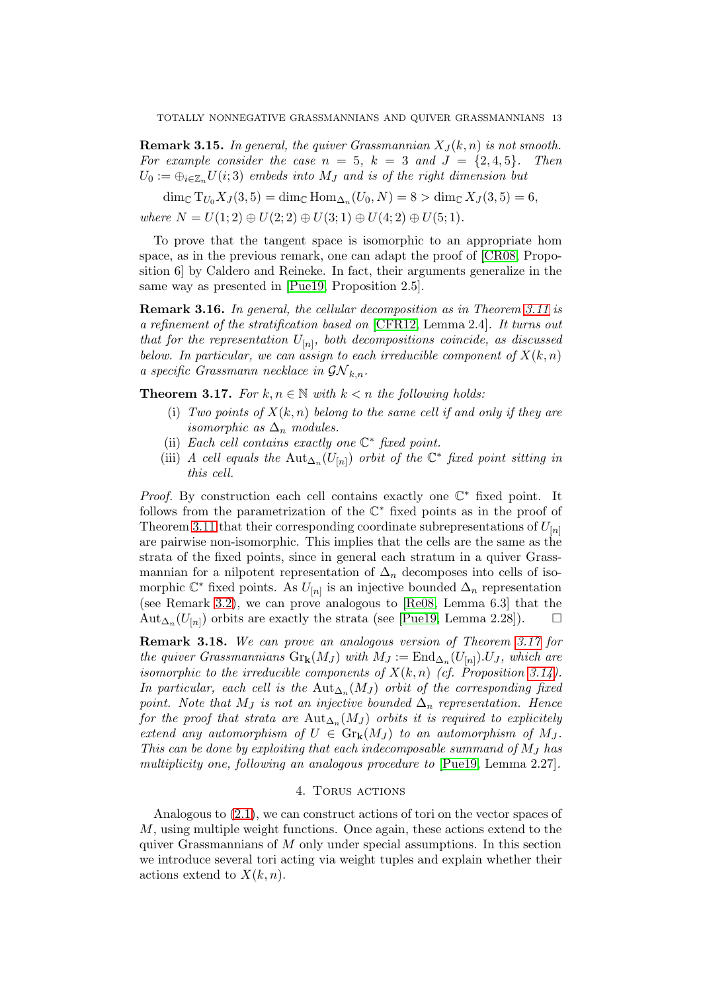<span id="page-12-2"></span>**Remark 3.15.** In general, the quiver Grassmannian  $X_j(k, n)$  is not smooth. For example consider the case  $n = 5$ ,  $k = 3$  and  $J = \{2, 4, 5\}$ . Then  $U_0 := \bigoplus_{i \in \mathbb{Z}_m} U(i;3)$  embeds into  $M_J$  and is of the right dimension but

dim<sub>C</sub> T<sub>U<sub>0</sub></sub>X<sub>J</sub>(3,5) = dim<sub>C</sub> Hom<sub> $\Delta_n$ </sub>(U<sub>0</sub>, N) = 8 > dim<sub>C</sub> X<sub>J</sub>(3,5) = 6, where  $N = U(1, 2) \oplus U(2, 2) \oplus U(3, 1) \oplus U(4, 2) \oplus U(5, 1)$ .

To prove that the tangent space is isomorphic to an appropriate hom space, as in the previous remark, one can adapt the proof of [\[CR08,](#page-31-10) Proposition 6] by Caldero and Reineke. In fact, their arguments generalize in the same way as presented in [\[Pue19,](#page-32-12) Proposition 2.5].

Remark 3.16. In general, the cellular decomposition as in Theorem [3.11](#page-11-0) is a refinement of the stratification based on [\[CFR12,](#page-31-9) Lemma 2.4]. It turns out that for the representation  $U_{[n]}$ , both decompositions coincide, as discussed below. In particular, we can assign to each irreducible component of  $X(k, n)$ a specific Grassmann necklace in  $\mathcal{GN}_{k,n}$ .

<span id="page-12-1"></span>**Theorem 3.17.** For  $k, n \in \mathbb{N}$  with  $k < n$  the following holds:

- (i) Two points of  $X(k, n)$  belong to the same cell if and only if they are isomorphic as  $\Delta_n$  modules.
- (ii) Each cell contains exactly one  $\mathbb{C}^*$  fixed point.
- (iii) A cell equals the  $\text{Aut}_{\Delta_n}(U_{[n]})$  orbit of the  $\mathbb{C}^*$  fixed point sitting in this cell.

*Proof.* By construction each cell contains exactly one  $\mathbb{C}^*$  fixed point. It follows from the parametrization of the  $\mathbb{C}^*$  fixed points as in the proof of Theorem [3.11](#page-11-0) that their corresponding coordinate subrepresentations of  $U_{[n]}$ are pairwise non-isomorphic. This implies that the cells are the same as the strata of the fixed points, since in general each stratum in a quiver Grassmannian for a nilpotent representation of  $\Delta_n$  decomposes into cells of isomorphic  $\mathbb{C}^*$  fixed points. As  $U_{[n]}$  is an injective bounded  $\Delta_n$  representation (see Remark [3.2\)](#page-8-1), we can prove analogous to [\[Re08,](#page-32-13) Lemma 6.3] that the Aut<sub>∆n</sub>( $U_{[n]}$ ) orbits are exactly the strata (see [\[Pue19,](#page-32-12) Lemma 2.28]).  $\Box$ 

Remark 3.18. We can prove an analogous version of Theorem [3.17](#page-12-1) for the quiver Grassmannians  $\text{Gr}_{k}(M_J)$  with  $M_J := \text{End}_{\Delta_n}(U_{[n]})$ . U<sub>J</sub>, which are isomorphic to the irreducible components of  $X(k, n)$  (cf. Proposition [3.14\)](#page-11-1). In particular, each cell is the  ${\rm Aut}_{\Delta_n}(M_J)$  orbit of the corresponding fixed point. Note that M<sub>J</sub> is not an injective bounded  $\Delta_n$  representation. Hence for the proof that strata are  ${\rm Aut}_{\Delta_n}(M_J)$  orbits it is required to explicitely extend any automorphism of  $U \in \mathrm{Gr}_k(M_J)$  to an automorphism of  $M_J$ . This can be done by exploiting that each indecomposable summand of  $M_J$  has multiplicity one, following an analogous procedure to [\[Pue19,](#page-32-12) Lemma 2.27].

### 4. TORUS ACTIONS

<span id="page-12-0"></span>Analogous to [\(2.1\)](#page-7-1), we can construct actions of tori on the vector spaces of  $M$ , using multiple weight functions. Once again, these actions extend to the quiver Grassmannians of  $M$  only under special assumptions. In this section we introduce several tori acting via weight tuples and explain whether their actions extend to  $X(k, n)$ .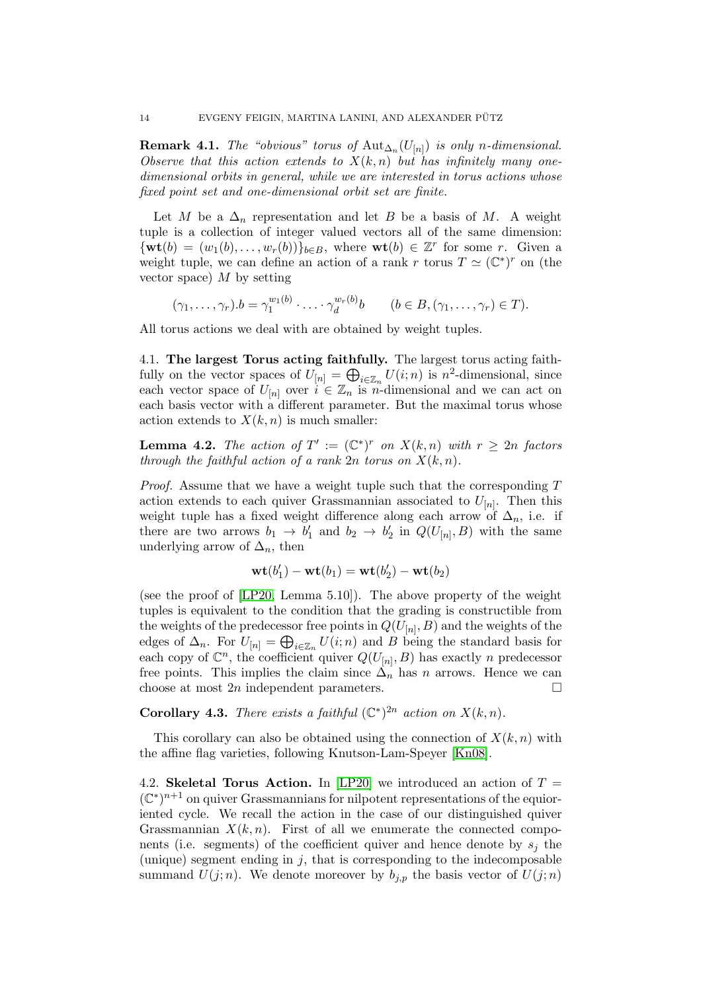**Remark 4.1.** The "obvious" torus of  $\text{Aut}_{\Delta_n}(U_{[n]})$  is only n-dimensional. Observe that this action extends to  $X(k, n)$  but has infinitely many onedimensional orbits in general, while we are interested in torus actions whose fixed point set and one-dimensional orbit set are finite.

Let M be a  $\Delta_n$  representation and let B be a basis of M. A weight tuple is a collection of integer valued vectors all of the same dimension:  ${\bf \{wt}(b) = (w_1(b), \ldots, w_r(b))\}_{b \in B}$ , where  ${\bf wt}(b) \in \mathbb{Z}^r$  for some r. Given a weight tuple, we can define an action of a rank r torus  $T \simeq (\mathbb{C}^*)^r$  on (the vector space)  $M$  by setting

$$
(\gamma_1,\ldots,\gamma_r).b=\gamma_1^{w_1(b)}\cdot\ldots\cdot\gamma_d^{w_r(b)}b \qquad (b\in B,(\gamma_1,\ldots,\gamma_r)\in T).
$$

All torus actions we deal with are obtained by weight tuples.

4.1. The largest Torus acting faithfully. The largest torus acting faithfully on the vector spaces of  $U_{[n]} = \bigoplus_{i \in \mathbb{Z}_n} U(i; n)$  is  $n^2$ -dimensional, since each vector space of  $U_{[n]}$  over  $i \in \mathbb{Z}_n$  is n-dimensional and we can act on each basis vector with a different parameter. But the maximal torus whose action extends to  $X(k, n)$  is much smaller:

**Lemma 4.2.** The action of  $T' := (\mathbb{C}^*)^r$  on  $X(k,n)$  with  $r \geq 2n$  factors through the faithful action of a rank  $2n$  torus on  $X(k, n)$ .

*Proof.* Assume that we have a weight tuple such that the corresponding  $T$ action extends to each quiver Grassmannian associated to  $U_{[n]}$ . Then this weight tuple has a fixed weight difference along each arrow of  $\Delta_n$ , i.e. if there are two arrows  $b_1 \rightarrow b'_1$  and  $b_2 \rightarrow b'_2$  in  $Q(U_{[n]}, B)$  with the same underlying arrow of  $\Delta_n$ , then

$$
\mathbf{wt}(b'_1) - \mathbf{wt}(b_1) = \mathbf{wt}(b'_2) - \mathbf{wt}(b_2)
$$

(see the proof of [\[LP20,](#page-31-7) Lemma 5.10]). The above property of the weight tuples is equivalent to the condition that the grading is constructible from the weights of the predecessor free points in  $Q(U_{[n]},B)$  and the weights of the edges of  $\Delta_n$ . For  $U_{[n]} = \bigoplus_{i \in \mathbb{Z}_n} U(i; n)$  and B being the standard basis for each copy of  $\mathbb{C}^n$ , the coefficient quiver  $Q(U_{[n]},B)$  has exactly n predecessor free points. This implies the claim since  $\Delta_n$  has n arrows. Hence we can choose at most  $2n$  independent parameters.

**Corollary 4.3.** There exists a faithful  $(\mathbb{C}^*)^{2n}$  action on  $X(k,n)$ .

This corollary can also be obtained using the connection of  $X(k, n)$  with the affine flag varieties, following Knutson-Lam-Speyer [\[Kn08\]](#page-31-4).

<span id="page-13-0"></span>4.2. Skeletal Torus Action. In [\[LP20\]](#page-31-7) we introduced an action of  $T =$  $(\mathbb{C}^*)^{n+1}$  on quiver Grassmannians for nilpotent representations of the equioriented cycle. We recall the action in the case of our distinguished quiver Grassmannian  $X(k, n)$ . First of all we enumerate the connected components (i.e. segments) of the coefficient quiver and hence denote by  $s_i$  the (unique) segment ending in  $j$ , that is corresponding to the indecomposable summand  $U(j; n)$ . We denote moreover by  $b_{j,p}$  the basis vector of  $U(j; n)$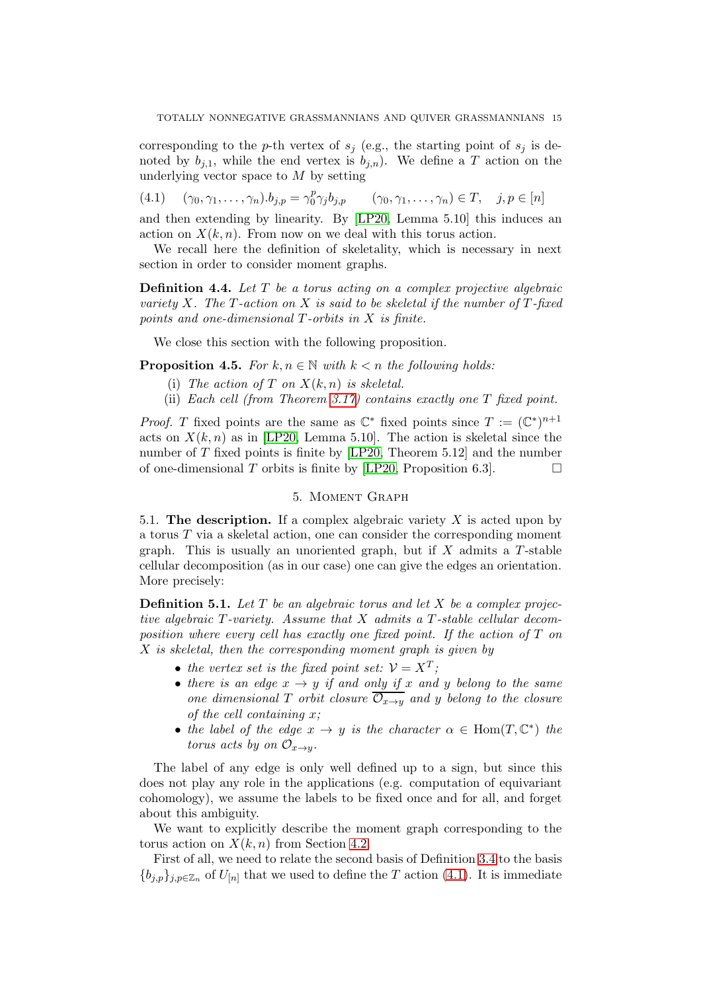corresponding to the p-th vertex of  $s_j$  (e.g., the starting point of  $s_j$  is denoted by  $b_{i,1}$ , while the end vertex is  $b_{i,n}$ ). We define a T action on the underlying vector space to  $M$  by setting

<span id="page-14-0"></span>(4.1)  $(\gamma_0, \gamma_1, \ldots, \gamma_n) . b_{j,p} = \gamma_0^p$ 0  $(\gamma_0, \gamma_1, \ldots, \gamma_n) \in T, \quad j, p \in [n]$ 

and then extending by linearity. By [\[LP20,](#page-31-7) Lemma 5.10] this induces an action on  $X(k, n)$ . From now on we deal with this torus action.

We recall here the definition of skeletality, which is necessary in next section in order to consider moment graphs.

**Definition 4.4.** Let  $T$  be a torus acting on a complex projective algebraic variety X. The  $T$ -action on X is said to be skeletal if the number of  $T$ -fixed points and one-dimensional T-orbits in X is finite.

We close this section with the following proposition.

<span id="page-14-1"></span>**Proposition 4.5.** For  $k, n \in \mathbb{N}$  with  $k < n$  the following holds:

- (i) The action of T on  $X(k, n)$  is skeletal.
- (ii) Each cell (from Theorem [3.17\)](#page-12-1) contains exactly one T fixed point.

*Proof.* T fixed points are the same as  $\mathbb{C}^*$  fixed points since  $T := (\mathbb{C}^*)^{n+1}$ acts on  $X(k, n)$  as in [\[LP20,](#page-31-7) Lemma 5.10]. The action is skeletal since the number of  $T$  fixed points is finite by [\[LP20,](#page-31-7) Theorem 5.12] and the number of one-dimensional T orbits is finite by [\[LP20,](#page-31-7) Proposition 6.3].  $\Box$ 

## 5. Moment Graph

5.1. The description. If a complex algebraic variety  $X$  is acted upon by a torus  $T$  via a skeletal action, one can consider the corresponding moment graph. This is usually an unoriented graph, but if  $X$  admits a  $T$ -stable cellular decomposition (as in our case) one can give the edges an orientation. More precisely:

**Definition 5.1.** Let  $T$  be an algebraic torus and let  $X$  be a complex projective algebraic T-variety. Assume that X admits a T-stable cellular decomposition where every cell has exactly one fixed point. If the action of T on  $X$  is skeletal, then the corresponding moment graph is given by

- the vertex set is the fixed point set:  $\mathcal{V} = X^T$ ;
- there is an edge  $x \rightarrow y$  if and only if x and y belong to the same one dimensional T orbit closure  $\overline{\mathcal{O}_{x\rightarrow y}}$  and y belong to the closure of the cell containing  $x$ ;
- the label of the edge  $x \to y$  is the character  $\alpha \in \text{Hom}(T, \mathbb{C}^*)$  the torus acts by on  $\mathcal{O}_{x\to y}$ .

The label of any edge is only well defined up to a sign, but since this does not play any role in the applications (e.g. computation of equivariant cohomology), we assume the labels to be fixed once and for all, and forget about this ambiguity.

We want to explicitly describe the moment graph corresponding to the torus action on  $X(k, n)$  from Section [4.2.](#page-13-0)

First of all, we need to relate the second basis of Definition 3.4 to the basis  ${b_{j,p}}_{j,p\in\mathbb{Z}_n}$  of  $U_{[n]}$  that we used to define the T action [\(4.1\)](#page-14-0). It is immediate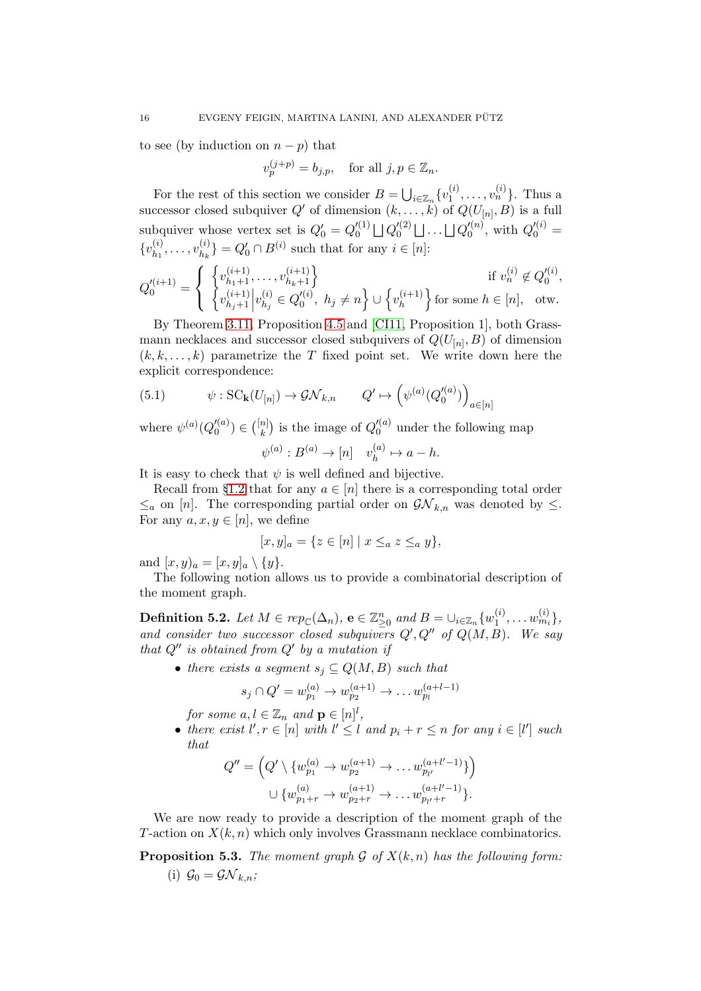to see (by induction on  $n - p$ ) that

$$
v_p^{(j+p)}=b_{j,p},\quad \text{for all } j,p\in \mathbb{Z}_n.
$$

For the rest of this section we consider  $B = \bigcup_{i \in \mathbb{Z}_n} \{v_1^{(i)}\}$  $\{i_1^{(i)}, \ldots, v_n^{(i)}\}$ . Thus a successor closed subquiver  $Q'$  of dimension  $(k, \ldots, k)$  of  $Q(U_{[n]}, B)$  is a full subquiver whose vertex set is  $Q'_0 = Q_0^{\prime(1)}$  $\lbrack\!\lbrack^{(1)}\bigr\rbrack\!\rbrack Q_0^{(2)}$  $\bigcup_0^{\prime (2)} \bigsqcup \ldots \bigsqcup Q_{0}^{\prime (n)}$  $Q_0^{\prime(n)}$ , with  $Q_0^{\prime(i)} =$  $\{v_{h_1}^{(i)}\}$  $\binom{i}{h_1}, \ldots, \binom{i}{h_k}$  ${a \choose h_k} = Q'_0 \cap B^{(i)}$  such that for any  $i \in [n]$ :

$$
Q'^{(i+1)}_0=\left\{\begin{array}{ll}\left\{v_{h_1+1}^{(i+1)},\ldots,v_{h_k+1}^{(i+1)}\right\}&\text{if }v_n^{(i)}\not\in Q'^{(i)}_0,\\ \left\{v_{h_j+1}^{(i+1)}\middle| v_{h_j}^{(i)}\in Q'^{(i)}_0, \ h_j\neq n\right\}\cup\left\{v_h^{(i+1)}\right\}\text{for some }h\in[n], \ \text{ otw.}\end{array}\right.
$$

By Theorem [3.11,](#page-11-0) Proposition [4.5](#page-14-1) and [\[CI11,](#page-31-8) Proposition 1], both Grassmann necklaces and successor closed subquivers of  $Q(U_{[n]},B)$  of dimension  $(k, k, \ldots, k)$  parametrize the T fixed point set. We write down here the explicit correspondence:

<span id="page-15-1"></span>(5.1) 
$$
\psi: SC_{\mathbf{k}}(U_{[n]}) \to \mathcal{GN}_{k,n} \qquad Q' \mapsto \left(\psi^{(a)}(Q'^{(a)}_0)\right)_{a \in [n]}
$$

where  $\psi^{(a)}(Q_0^{\prime\prime\,(a)})$  $\binom{n}{0} \in \binom{[n]}{k}$  $\binom{n}{k}$  is the image of  $Q_0^{\prime(a)}$  $\binom{a}{0}$  under the following map

$$
\psi^{(a)}: B^{(a)} \to [n] \quad v_h^{(a)} \mapsto a - h.
$$

It is easy to check that  $\psi$  is well defined and bijective.

Recall from §[1.2](#page-3-2) that for any  $a \in [n]$  there is a corresponding total order  $\leq_a$  on [n]. The corresponding partial order on  $\mathcal{GN}_{k,n}$  was denoted by  $\leq$ . For any  $a, x, y \in [n]$ , we define

$$
[x, y]_a = \{ z \in [n] \mid x \leq_a z \leq_a y \},
$$

and  $[x, y)_a = [x, y]_a \setminus \{y\}.$ 

The following notion allows us to provide a combinatorial description of the moment graph.

Definition 5.2. Let  $M\in rep_\mathbb C(\Delta_n),$   $\mathbf e\in\mathbb Z^n_{\geq 0}$  and  $B=\cup_{i\in\mathbb Z_n}\{w^{(i)}_1\}$  $\{i_1^{(i)}, \ldots w_{m_i}^{(i)}\},\$ and consider two successor closed subquivers  $Q', Q''$  of  $Q(M, B)$ . We say that  $Q''$  is obtained from  $Q'$  by a mutation if

• there exists a segment  $s_j \subseteq Q(M, B)$  such that

$$
s_j \cap Q' = w_{p_1}^{(a)} \to w_{p_2}^{(a+1)} \to \dots w_{p_l}^{(a+l-1)}
$$

for some  $a, l \in \mathbb{Z}_n$  and  $\mathbf{p} \in [n]^l$ ,

• there exist  $l', r \in [n]$  with  $l' \leq l$  and  $p_i + r \leq n$  for any  $i \in [l']$  such that

$$
Q'' = \left(Q' \setminus \{w_{p_1}^{(a)} \to w_{p_2}^{(a+1)} \to \dots w_{p_{l'}}^{(a+l'-1)}\}\right)
$$

$$
\cup \{w_{p_1+r}^{(a)} \to w_{p_2+r}^{(a+1)} \to \dots w_{p_{l'}+r}^{(a+l'-1)}\}.
$$

We are now ready to provide a description of the moment graph of the T-action on  $X(k, n)$  which only involves Grassmann necklace combinatorics.

<span id="page-15-0"></span>**Proposition 5.3.** The moment graph  $\mathcal G$  of  $X(k,n)$  has the following form: (i)  $\mathcal{G}_0 = \mathcal{G} \mathcal{N}_{k,n}$ ;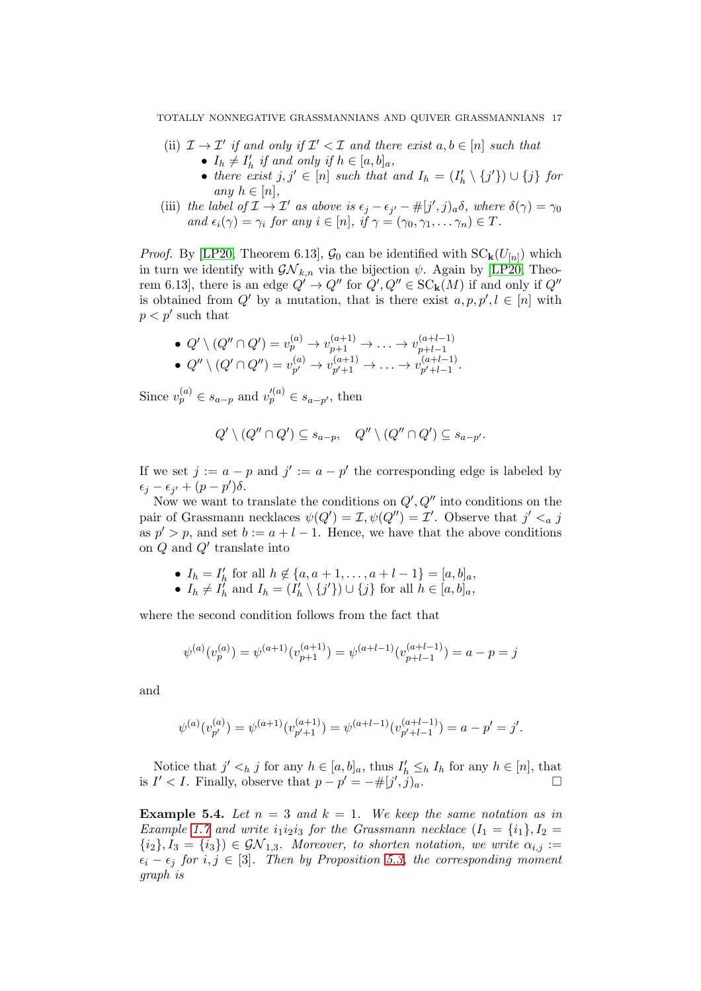- (ii)  $\mathcal{I} \to \mathcal{I}'$  if and only if  $\mathcal{I}' < \mathcal{I}$  and there exist  $a, b \in [n]$  such that •  $I_h \neq I'_h$  if and only if  $h \in [a, b]_a$ ,
	- there exist  $j, j' \in [n]$  such that and  $I_h = (I'_h \setminus \{j'\}) \cup \{j\}$  for any  $h \in [n]$ ,
- (iii) the label of  $\mathcal{I} \to \mathcal{I}'$  as above is  $\epsilon_j \epsilon_{j'} \#[j',j)_a \delta$ , where  $\delta(\gamma) = \gamma_0$ and  $\epsilon_i(\gamma) = \gamma_i$  for any  $i \in [n]$ , if  $\gamma = (\gamma_0, \gamma_1, \dots \gamma_n) \in T$ .

*Proof.* By [\[LP20,](#page-31-7) Theorem 6.13],  $\mathcal{G}_0$  can be identified with  $SC_{\mathbf{k}}(U_{[n]})$  which in turn we identify with  $\mathcal{GN}_{k,n}$  via the bijection  $\psi$ . Again by [\[LP20,](#page-31-7) Theorem 6.13, there is an edge  $Q' \to Q''$  for  $Q', Q'' \in SC_{\mathbf{k}}(M)$  if and only if  $Q''$ is obtained from Q' by a mutation, that is there exist  $a, p, p', l \in [n]$  with  $p < p'$  such that

• 
$$
Q' \setminus (Q'' \cap Q') = v_p^{(a)} \to v_{p+1}^{(a+1)} \to \dots \to v_{p+l-1}^{(a+l-1)}
$$
  
\n•  $Q'' \setminus (Q' \cap Q'') = v_{p'}^{(a)} \to v_{p'+1}^{(a+1)} \to \dots \to v_{p'+l-1}^{(a+l-1)}$ .

Since  $v_p^{(a)} \in s_{a-p}$  and  $v_p'^{(a)} \in s_{a-p'}$ , then

$$
Q' \setminus (Q'' \cap Q') \subseteq s_{a-p}, \quad Q'' \setminus (Q'' \cap Q') \subseteq s_{a-p'}.
$$

If we set  $j := a - p$  and  $j' := a - p'$  the corresponding edge is labeled by  $\epsilon_j - \epsilon_{j'} + (p - p')\delta.$ 

Now we want to translate the conditions on  $Q', Q''$  into conditions on the pair of Grassmann necklaces  $\psi(Q') = \mathcal{I}, \psi(Q'') = \mathcal{I}'$ . Observe that  $j' <_{a} j$ as  $p' > p$ , and set  $b := a + l - 1$ . Hence, we have that the above conditions on Q and Q′ translate into

- $I_h = I'_h$  for all  $h \notin \{a, a+1, \ldots, a+l-1\} = [a, b]_a$ ,
- $I_h \neq I_h'$  and  $I_h = (I_h' \setminus \{j'\}) \cup \{j\}$  for all  $h \in [a, b]_a$ ,

where the second condition follows from the fact that

$$
\psi^{(a)}(v^{(a)}_p) = \psi^{(a+1)}(v^{(a+1)}_{p+1}) = \psi^{(a+l-1)}(v^{(a+l-1)}_{p+l-1}) = a-p = j
$$

and

$$
\psi^{(a)}(v_{p'}^{(a)}) = \psi^{(a+1)}(v_{p'+1}^{(a+1)}) = \psi^{(a+l-1)}(v_{p'+l-1}^{(a+l-1)}) = a - p' = j'.
$$

Notice that  $j' <_h j$  for any  $h \in [a, b]_a$ , thus  $I'_h \leq_h I_h$  for any  $h \in [n]$ , that is *I'* < *I*. Finally, observe that  $p - p' = -\#[j', j)_a$ . □

<span id="page-16-0"></span>**Example 5.4.** Let  $n = 3$  and  $k = 1$ . We keep the same notation as in Example [1.7](#page-3-4) and write  $i_1i_2i_3$  for the Grassmann necklace  $(I_1 = \{i_1\}, I_2 =$  ${i_2}, I_3 = {i_3} \in \mathcal{GN}_{1,3}$ . Moreover, to shorten notation, we write  $\alpha_{i,j}$ :=  $\epsilon_i - \epsilon_j$  for  $i, j \in [3]$ . Then by Proposition [5.3,](#page-15-0) the corresponding moment graph is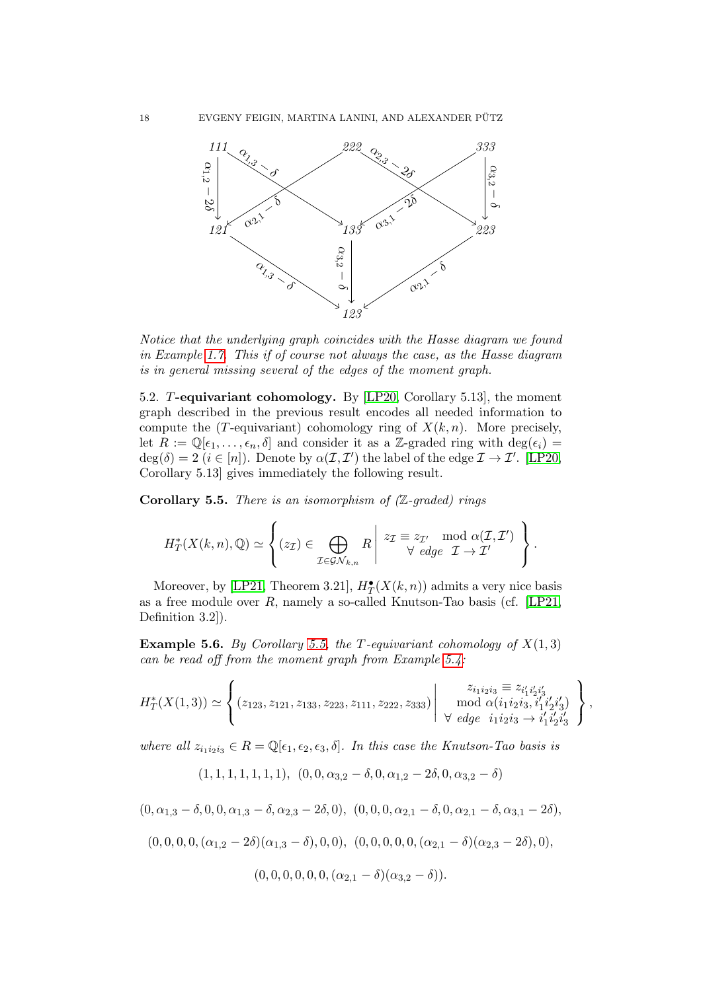

Notice that the underlying graph coincides with the Hasse diagram we found in Example [1.7.](#page-3-4) This if of course not always the case, as the Hasse diagram is in general missing several of the edges of the moment graph.

5.2. T-equivariant cohomology. By [\[LP20,](#page-31-7) Corollary 5.13], the moment graph described in the previous result encodes all needed information to compute the (T-equivariant) cohomology ring of  $X(k, n)$ . More precisely, let  $R := \mathbb{Q}[\epsilon_1,\ldots,\epsilon_n,\delta]$  and consider it as a Z-graded ring with  $\deg(\epsilon_i)$  $deg(\delta) = 2$   $(i \in [n])$ . Denote by  $\alpha(\mathcal{I}, \mathcal{I}')$  the label of the edge  $\mathcal{I} \to \mathcal{I}'$ . [\[LP20,](#page-31-7) Corollary 5.13] gives immediately the following result.

<span id="page-17-0"></span>**Corollary 5.5.** There is an isomorphism of  $(Z$ -graded) rings

$$
H^*_T(X(k,n),\mathbb{Q})\simeq \left\{ (z_{\mathcal{I}})\in \bigoplus_{\mathcal{I}\in\mathcal{GN}_{k,n}} R \Bigg| \begin{array}{l} z_{\mathcal{I}}\equiv z_{\mathcal{I}'}\mod \alpha(\mathcal{I},\mathcal{I}')\\ \forall \ edge \ \mathcal{I}\rightarrow\mathcal{I}' \end{array} \right\}.
$$

Moreover, by [\[LP21,](#page-32-14) Theorem 3.21],  $H_T^{\bullet}(X(k,n))$  admits a very nice basis as a free module over  $R$ , namely a so-called Knutson-Tao basis (cf. [\[LP21,](#page-32-14) Definition 3.2]).

**Example 5.6.** By Corollary [5.5,](#page-17-0) the T-equivariant cohomology of  $X(1,3)$ can be read off from the moment graph from Example [5.4:](#page-16-0)

$$
H_T^*(X(1,3)) \simeq \left\{ (z_{123}, z_{121}, z_{133}, z_{223}, z_{111}, z_{222}, z_{333}) \middle| \begin{array}{c} z_{i_1 i_2 i_3} \equiv z_{i'_1 i'_2 i'_3} \\ \text{mod } \alpha (i_1 i_2 i_3, i'_1 i'_2 i'_3) \\ \forall \text{ edge } i_1 i_2 i_3 \rightarrow i'_1 i'_2 i'_3 \end{array} \right\},
$$

where all  $z_{i_1i_2i_3} \in R = \mathbb{Q}[\epsilon_1, \epsilon_2, \epsilon_3, \delta]$ . In this case the Knutson-Tao basis is

$$
(1, 1, 1, 1, 1, 1, 1), (0, 0, \alpha_{3,2} - \delta, 0, \alpha_{1,2} - 2\delta, 0, \alpha_{3,2} - \delta)
$$

$$
(0, \alpha_{1,3}-\delta, 0, 0, \alpha_{1,3}-\delta, \alpha_{2,3}-2\delta, 0), (0, 0, 0, \alpha_{2,1}-\delta, 0, \alpha_{2,1}-\delta, \alpha_{3,1}-2\delta),
$$

$$
(0,0,0,0,(\alpha_{1,2}-2\delta)(\alpha_{1,3}-\delta),0,0), (0,0,0,0,0,(\alpha_{2,1}-\delta)(\alpha_{2,3}-2\delta),0),
$$

$$
(0,0,0,0,0,0,(\alpha_{2,1}-\delta)(\alpha_{3,2}-\delta)).
$$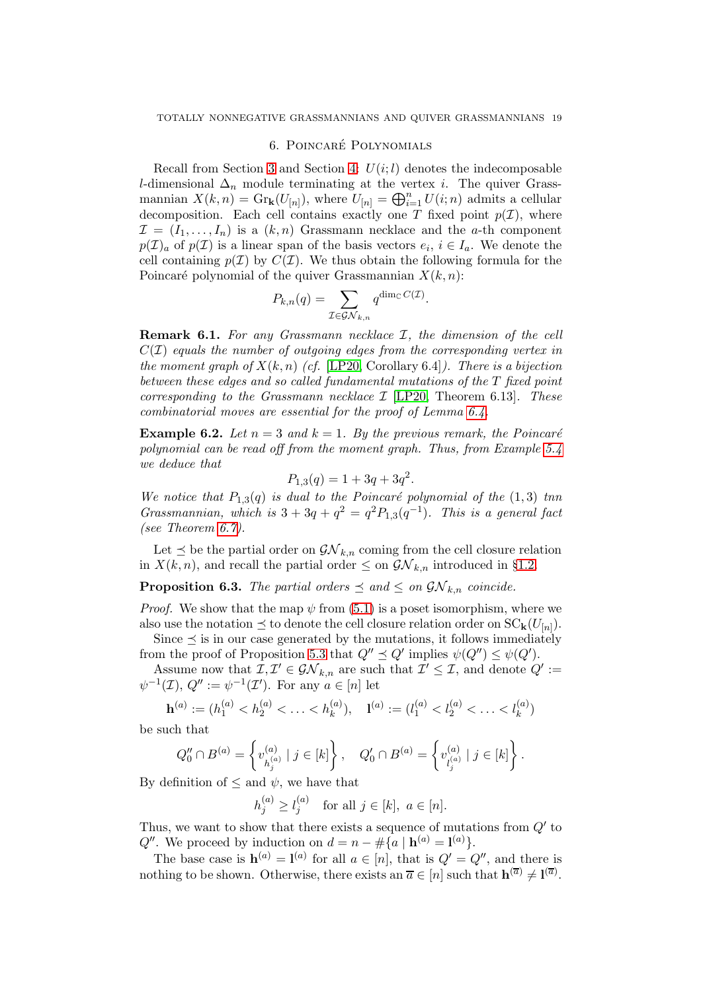### 6. POINCARÉ POLYNOMIALS

Recall from Section [3](#page-8-2) and Section [4:](#page-12-0)  $U(i; l)$  denotes the indecomposable l-dimensional  $\Delta_n$  module terminating at the vertex *i*. The quiver Grassmannian  $X(k,n) = \text{Gr}_{k}(U_{[n]})$ , where  $U_{[n]} = \bigoplus_{i=1}^{n} U(i;n)$  admits a cellular decomposition. Each cell contains exactly one T fixed point  $p(\mathcal{I})$ , where  $\mathcal{I} = (I_1, \ldots, I_n)$  is a  $(k, n)$  Grassmann necklace and the a-th component  $p(\mathcal{I})_a$  of  $p(\mathcal{I})$  is a linear span of the basis vectors  $e_i, i \in I_a$ . We denote the cell containing  $p(\mathcal{I})$  by  $C(\mathcal{I})$ . We thus obtain the following formula for the Poincaré polynomial of the quiver Grassmannian  $X(k, n)$ :

$$
P_{k,n}(q) = \sum_{\mathcal{I} \in \mathcal{GN}_{k,n}} q^{\dim_{\mathbb{C}} C(\mathcal{I})}.
$$

Remark 6.1. For any Grassmann necklace  $I$ , the dimension of the cell  $C(\mathcal{I})$  equals the number of outgoing edges from the corresponding vertex in the moment graph of  $X(k, n)$  (cf. [\[LP20,](#page-31-7) Corollary 6.4]). There is a bijection between these edges and so called fundamental mutations of the T fixed point corresponding to the Grassmann necklace  $\mathcal{I}$  [\[LP20,](#page-31-7) Theorem 6.13]. These combinatorial moves are essential for the proof of Lemma [6.4.](#page-19-0)

**Example 6.2.** Let  $n = 3$  and  $k = 1$ . By the previous remark, the Poincaré polynomial can be read off from the moment graph. Thus, from Example [5.4](#page-16-0) we deduce that

$$
P_{1,3}(q) = 1 + 3q + 3q^2.
$$

We notice that  $P_{1,3}(q)$  is dual to the Poincaré polynomial of the (1,3) tnn Grassmannian, which is  $3 + 3q + q^2 = q^2 P_{1,3}(q^{-1})$ . This is a general fact (see Theorem [6.7\)](#page-20-0).

Let  $\preceq$  be the partial order on  $\mathcal{GN}_{k,n}$  coming from the cell closure relation in  $X(k, n)$ , and recall the partial order  $\leq$  on  $\mathcal{GN}_{k,n}$  introduced in §[1.2.](#page-3-2)

<span id="page-18-0"></span>**Proposition 6.3.** The partial orders  $\leq$  and  $\leq$  on  $\mathcal{GN}_{k,n}$  coincide.

*Proof.* We show that the map  $\psi$  from [\(5.1\)](#page-15-1) is a poset isomorphism, where we also use the notation  $\preceq$  to denote the cell closure relation order on  $SC_{\mathbf{k}}(U_{[n]})$ . Since  $\leq$  is in our case generated by the mutations, it follows immediately

from the proof of Proposition [5.3](#page-15-0) that  $Q'' \preceq Q'$  implies  $\psi(Q'') \leq \psi(Q')$ .

Assume now that  $\mathcal{I}, \mathcal{I}' \in \mathcal{GN}_{k,n}$  are such that  $\mathcal{I}' \leq \mathcal{I}$ , and denote  $Q' :=$  $\psi^{-1}(\mathcal{I}), Q'':=\psi^{-1}(\mathcal{I}').$  For any  $a \in [n]$  let

$$
\mathbf{h}^{(a)} := (h_1^{(a)} < h_2^{(a)} < \ldots < h_k^{(a)}), \quad \mathbf{1}^{(a)} := (l_1^{(a)} < l_2^{(a)} < \ldots < l_k^{(a)})
$$

be such that

$$
Q_0''\cap B^{(a)}=\left\{v_{h_j^{(a)}}^{(a)}\mid j\in[k]\right\},\quad Q_0'\cap B^{(a)}=\left\{v_{l_j^{(a)}}^{(a)}\mid j\in[k]\right\}.
$$

By definition of  $\leq$  and  $\psi$ , we have that

$$
h_j^{(a)} \ge l_j^{(a)} \quad \text{for all } j \in [k], \ a \in [n].
$$

Thus, we want to show that there exists a sequence of mutations from  $Q'$  to  $Q''$ . We proceed by induction on  $d = n - \# \{a \mid \mathbf{h}^{(a)} = \mathbf{l}^{(a)}\}.$ 

The base case is  $h^{(a)} = l^{(a)}$  for all  $a \in [n]$ , that is  $Q' = Q''$ , and there is nothing to be shown. Otherwise, there exists an  $\overline{a} \in [n]$  such that  $\mathbf{h}^{(\overline{a})} \neq \mathbf{l}^{(\overline{a})}$ .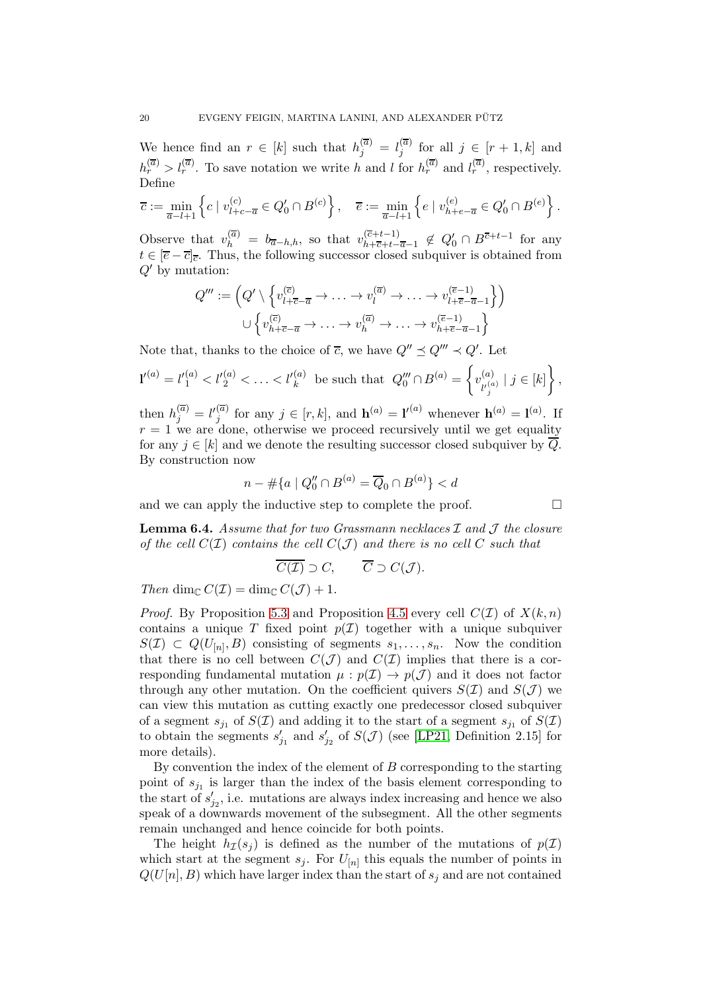We hence find an  $r \in [k]$  such that  $h_j^{(\overline{a})} = l_j^{(\overline{a})}$  $j^{(a)}$  for all  $j \in [r+1, k]$  and  $h_r^{(\overline{a})} > l_r^{(\overline{a})}$ . To save notation we write h and l for  $h_r^{(\overline{a})}$  and  $l_r^{(\overline{a})}$ , respectively. Define

$$
\overline{c}:=\min_{\overline{a}-l+1}\left\{c\mid v^{(c)}_{l+c-\overline{a}}\in Q_0'\cap B^{(c)}\right\},\quad \overline{e}:=\min_{\overline{a}-l+1}\left\{e\mid v^{(e)}_{h+e-\overline{a}}\in Q_0'\cap B^{(e)}\right\}.
$$

Observe that  $v_h^{(\bar{a})} = b_{\bar{a}-h,h}$ , so that  $v_{h+\bar{c}+t-}^{(\bar{c}+t-1)}$  $\frac{(c+t-1)}{h+\overline{c}+t-\overline{a}-1} \notin Q'_0 \cap B^{\overline{c}+t-1}$  for any  $t \in \overline{e} - \overline{c}$ . Thus, the following successor closed subquiver is obtained from  $Q'$  by mutation:

$$
Q''' := \left(Q' \setminus \left\{v_{l+\overline{c}-\overline{a}}^{(\overline{c})} \to \ldots \to v_l^{(\overline{a})} \to \ldots \to v_{l+\overline{e}-\overline{a}-1}^{(\overline{e}-1)}\right\}\right)
$$

$$
\cup \left\{v_{h+\overline{c}-\overline{a}}^{(\overline{c})} \to \ldots \to v_h^{(\overline{a})} \to \ldots \to v_{h+\overline{e}-\overline{a}-1}^{(\overline{e}-1)}\right\}
$$

Note that, thanks to the choice of  $\overline{c}$ , we have  $Q'' \preceq Q''' \prec Q'$ . Let

$$
l'^{(a)} = l'_1{}^{(a)} < l'_2{}^{(a)} < \ldots < l'_k{}^{(a)} \text{ be such that } Q_0''' \cap B^{(a)} = \left\{ v_{l'_j}^{(a)} \mid j \in [k] \right\},
$$

then  $h_j^{(\overline{a})} = l'^{(\overline{a})}_j$  $j^{(\overline{a})}$  for any  $j \in [r, k]$ , and  $\mathbf{h}^{(a)} = \mathbf{l}^{(a)}$  whenever  $\mathbf{h}^{(a)} = \mathbf{l}^{(a)}$ . If  $r = 1$  we are done, otherwise we proceed recursively until we get equality for any  $j \in [k]$  and we denote the resulting successor closed subquiver by  $\overline{Q}$ . By construction now

$$
n - \# \{ a \mid Q_0'' \cap B^{(a)} = \overline{Q}_0 \cap B^{(a)} \} < d
$$

and we can apply the inductive step to complete the proof.  $\Box$ 

<span id="page-19-0"></span>**Lemma 6.4.** Assume that for two Grassmann necklaces  $\mathcal{I}$  and  $\mathcal{J}$  the closure of the cell  $C(\mathcal{I})$  contains the cell  $C(\mathcal{J})$  and there is no cell C such that

$$
\overline{C(\mathcal{I})}\supset C,\qquad \overline{C}\supset C(\mathcal{J}).
$$

Then dim<sub>C</sub>  $C(\mathcal{I}) = \dim_{\mathbb{C}} C(\mathcal{J}) + 1$ .

*Proof.* By Proposition [5.3](#page-15-0) and Proposition [4.5](#page-14-1) every cell  $C(\mathcal{I})$  of  $X(k,n)$ contains a unique T fixed point  $p(\mathcal{I})$  together with a unique subquiver  $S(\mathcal{I}) \subset Q(U_{[n]},B)$  consisting of segments  $s_1,\ldots,s_n$ . Now the condition that there is no cell between  $C(\mathcal{J})$  and  $C(\mathcal{I})$  implies that there is a corresponding fundamental mutation  $\mu : p(\mathcal{I}) \to p(\mathcal{J})$  and it does not factor through any other mutation. On the coefficient quivers  $S(\mathcal{I})$  and  $S(\mathcal{J})$  we can view this mutation as cutting exactly one predecessor closed subquiver of a segment  $s_{j_1}$  of  $S(\mathcal{I})$  and adding it to the start of a segment  $s_{j_1}$  of  $S(\mathcal{I})$ to obtain the segments  $s'_{j_1}$  and  $s'_{j_2}$  of  $S(\mathcal{J})$  (see [\[LP21,](#page-32-14) Definition 2.15] for more details).

By convention the index of the element of  $B$  corresponding to the starting point of  $s_{j_1}$  is larger than the index of the basis element corresponding to the start of  $s'_{j_2}$ , i.e. mutations are always index increasing and hence we also speak of a downwards movement of the subsegment. All the other segments remain unchanged and hence coincide for both points.

The height  $h_{\mathcal{I}}(s_i)$  is defined as the number of the mutations of  $p(\mathcal{I})$ which start at the segment  $s_j$ . For  $U_{[n]}$  this equals the number of points in  $Q(U[n], B)$  which have larger index than the start of  $s_i$  and are not contained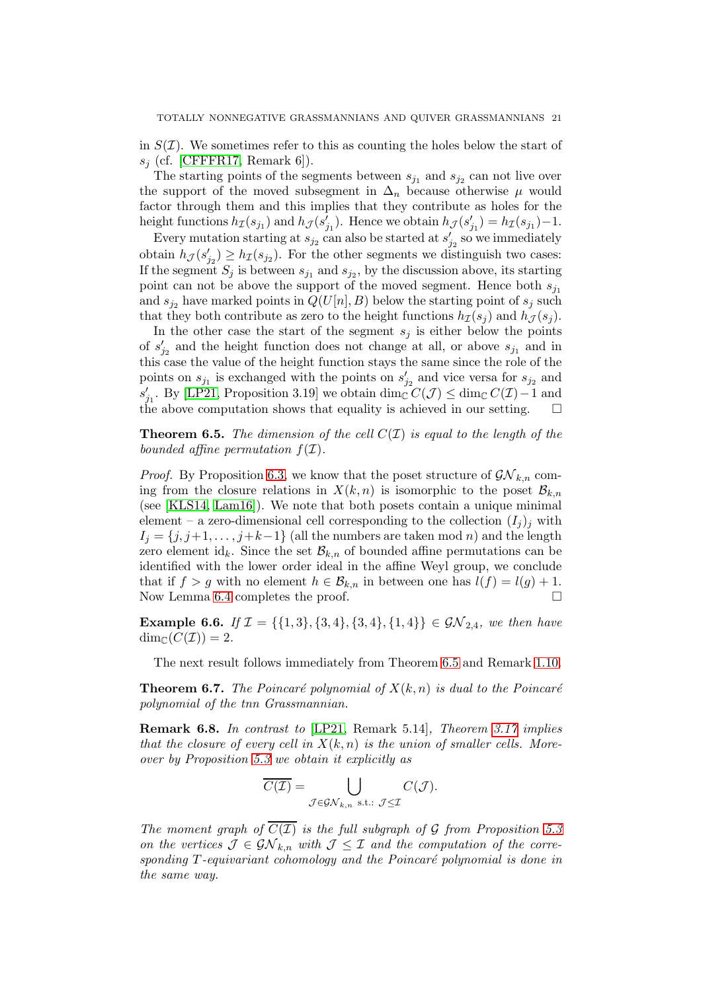in  $S(\mathcal{I})$ . We sometimes refer to this as counting the holes below the start of  $s_i$  (cf. [\[CFFFR17,](#page-31-11) Remark 6]).

The starting points of the segments between  $s_{j_1}$  and  $s_{j_2}$  can not live over the support of the moved subsegment in  $\Delta_n$  because otherwise  $\mu$  would factor through them and this implies that they contribute as holes for the height functions  $h_{\mathcal{I}}(s_{j_1})$  and  $h_{\mathcal{J}}(s'_{j_1})$ . Hence we obtain  $h_{\mathcal{J}}(s'_{j_1}) = h_{\mathcal{I}}(s_{j_1}) - 1$ .

Every mutation starting at  $s_{j_2}$  can also be started at  $s'_{j_2}$  so we immediately obtain  $h_{\mathcal{J}}(s'_{j_2}) \geq h_{\mathcal{I}}(s_{j_2})$ . For the other segments we distinguish two cases: If the segment  $S_j$  is between  $s_{j_1}$  and  $s_{j_2}$ , by the discussion above, its starting point can not be above the support of the moved segment. Hence both  $s_{i_1}$ and  $s_{j2}$  have marked points in  $Q(U[n], B)$  below the starting point of  $s_j$  such that they both contribute as zero to the height functions  $h_{\mathcal{I}}(s_i)$  and  $h_{\mathcal{I}}(s_i)$ .

In the other case the start of the segment  $s_i$  is either below the points of  $s'_{j_2}$  and the height function does not change at all, or above  $s_{j_1}$  and in this case the value of the height function stays the same since the role of the points on  $s_{j_1}$  is exchanged with the points on  $s'_{j_2}$  and vice versa for  $s_{j_2}$  and s'<sub>j1</sub>. By [\[LP21,](#page-32-14) Proposition 3.19] we obtain  $\dim_{\mathbb{C}} C(\mathcal{J}) \leq \dim_{\mathbb{C}} C(\mathcal{I}) - 1$  and the above computation shows that equality is achieved in our setting.

<span id="page-20-1"></span>**Theorem 6.5.** The dimension of the cell  $C(\mathcal{I})$  is equal to the length of the bounded affine permutation  $f(\mathcal{I})$ .

*Proof.* By Proposition [6.3,](#page-18-0) we know that the poset structure of  $\mathcal{GN}_{k,n}$  coming from the closure relations in  $X(k, n)$  is isomorphic to the poset  $\mathcal{B}_{k,n}$ (see [\[KLS14,](#page-31-3) [Lam16\]](#page-31-1)). We note that both posets contain a unique minimal element – a zero-dimensional cell corresponding to the collection  $(I_i)_i$  with  $I_j = \{j, j+1, \ldots, j+k-1\}$  (all the numbers are taken mod n) and the length zero element id<sub>k</sub>. Since the set  $\mathcal{B}_{k,n}$  of bounded affine permutations can be identified with the lower order ideal in the affine Weyl group, we conclude that if  $f > g$  with no element  $h \in \mathcal{B}_{k,n}$  in between one has  $l(f) = l(g) + 1$ . Now Lemma [6.4](#page-19-0) completes the proof.

**Example 6.6.** If  $\mathcal{I} = \{\{1,3\},\{3,4\},\{3,4\},\{1,4\}\}\in \mathcal{GN}_{2,4}$ , we then have  $\dim_{\mathbb{C}}(C(\mathcal{I})) = 2.$ 

The next result follows immediately from Theorem [6.5](#page-20-1) and Remark [1.10.](#page-5-0)

<span id="page-20-0"></span>**Theorem 6.7.** The Poincaré polynomial of  $X(k, n)$  is dual to the Poincaré polynomial of the tnn Grassmannian.

Remark 6.8. In contrast to [\[LP21,](#page-32-14) Remark 5.14], Theorem [3.17](#page-12-1) implies that the closure of every cell in  $X(k, n)$  is the union of smaller cells. Moreover by Proposition [5.3](#page-15-0) we obtain it explicitly as

$$
\overline{C(\mathcal{I})} = \bigcup_{\mathcal{J} \in \mathcal{GN}_{k,n} \text{ s.t.: } \mathcal{J} \leq \mathcal{I}} C(\mathcal{J}).
$$

The moment graph of  $\overline{C(\mathcal{I})}$  is the full subgraph of G from Proposition [5.3](#page-15-0) on the vertices  $\mathcal{J} \in \mathcal{GN}_{k,n}$  with  $\mathcal{J} \leq \mathcal{I}$  and the computation of the corresponding  $T$ -equivariant cohomology and the Poincaré polynomial is done in the same way.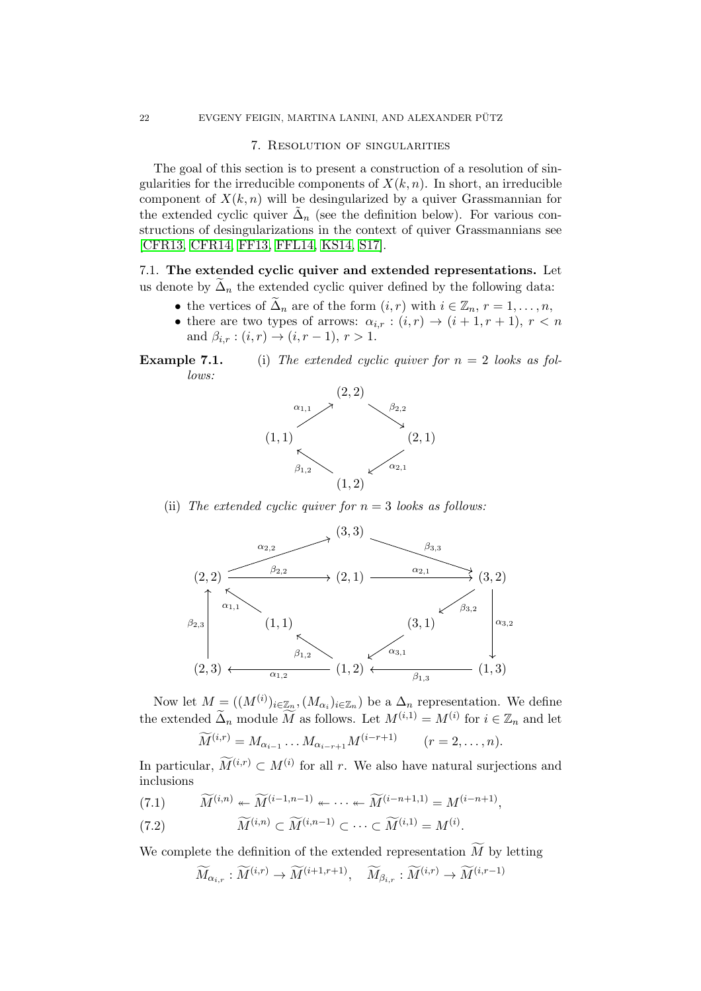#### 7. Resolution of singularities

The goal of this section is to present a construction of a resolution of singularities for the irreducible components of  $X(k, n)$ . In short, an irreducible component of  $X(k, n)$  will be desingularized by a quiver Grassmannian for the extended cyclic quiver  $\tilde{\Delta}_n$  (see the definition below). For various constructions of desingularizations in the context of quiver Grassmannians see [\[CFR13,](#page-31-12) [CFR14,](#page-31-13) [FF13,](#page-31-14) [FFL14,](#page-31-15) [KS14,](#page-31-16) [S17\]](#page-32-15).

7.1. The extended cyclic quiver and extended representations. Let us denote by  $\Delta_n$  the extended cyclic quiver defined by the following data:

- the vertices of  $\Delta_n$  are of the form  $(i, r)$  with  $i \in \mathbb{Z}_n$ ,  $r = 1, \ldots, n$ ,
- there are two types of arrows:  $\alpha_{i,r} : (i,r) \to (i+1,r+1), r < n$ and  $\beta_{i,r} : (i,r) \to (i, r-1), r > 1.$





(ii) The extended cyclic quiver for  $n = 3$  looks as follows:



Now let  $M = ((M^{(i)})_{i \in \mathbb{Z}_n}, (M_{\alpha_i})_{i \in \mathbb{Z}_n})$  be a  $\Delta_n$  representation. We define the extended  $\widetilde{\Delta}_n$  module  $\widetilde{M}$  as follows. Let  $M^{(i,1)} = M^{(i)}$  for  $i \in \mathbb{Z}_n$  and let

$$
\widetilde{M}^{(i,r)} = M_{\alpha_{i-1}} \dots M_{\alpha_{i-r+1}} M^{(i-r+1)} \qquad (r = 2, \dots, n).
$$

In particular,  $\widetilde{M}^{(i,r)} \subset M^{(i)}$  for all r. We also have natural surjections and inclusions

<span id="page-21-0"></span> $\widetilde{M}^{(i,n)} \leftarrow \widetilde{M}^{(i-1,n-1)} \leftarrow \cdots \leftarrow \widetilde{M}^{(i-n+1,1)} = M^{(i-n+1)},$ 

<span id="page-21-1"></span>(7.2) 
$$
\widetilde{M}^{(i,n)} \subset \widetilde{M}^{(i,n-1)} \subset \cdots \subset \widetilde{M}^{(i,1)} = M^{(i)}.
$$

We complete the definition of the extended representation  $\widetilde{M}$  by letting

$$
\widetilde{M}_{\alpha_{i,r}}:\widetilde{M}^{(i,r)}\rightarrow \widetilde{M}^{(i+1,r+1)},\quad \widetilde{M}_{\beta_{i,r}}:\widetilde{M}^{(i,r)}\rightarrow \widetilde{M}^{(i,r-1)}
$$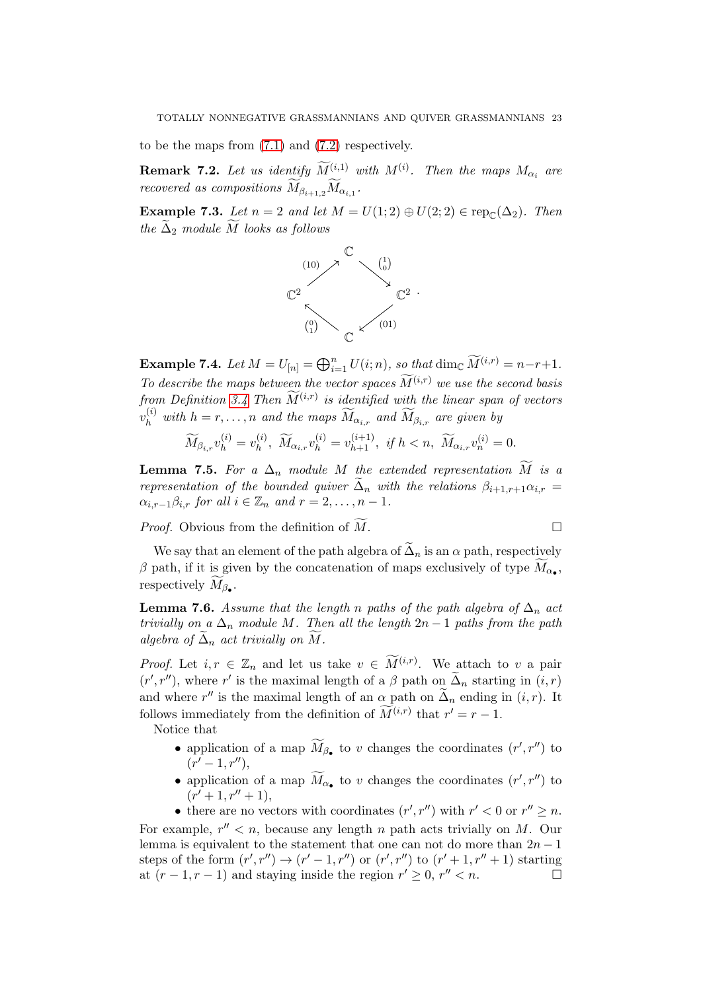to be the maps from [\(7.1\)](#page-21-0) and [\(7.2\)](#page-21-1) respectively.

<span id="page-22-0"></span>**Remark 7.2.** Let us identify  $\widetilde{M}_{\infty}^{(i,1)}$  with  $M^{(i)}$ . Then the maps  $M_{\alpha_i}$  are recovered as compositions  $M_{\beta_{i+1,2}} M_{\alpha_{i,1}}$ .

Example 7.3. Let  $n = 2$  and let  $M = U(1, 2) \oplus U(2, 2) \in \text{rep}_{\mathbb{C}}(\Delta_2)$ . Then the  $\tilde{\Delta}_2$  module M looks as follows



**Example 7.4.** Let  $M = U_{[n]} = \bigoplus_{i=1}^{n} U(i; n)$ , so that  $\dim_{\mathbb{C}} \widetilde{M}^{(i,r)} = n-r+1$ . To describe the maps between the vector spaces  $\widetilde{M}^{(i,r)}$  we use the second basis from Definition 3.4 Then  $\widetilde{M}^{(i,r)}$  is identified with the linear span of vectors  $v_h^{(i)}$  with  $h=r,\ldots,n$  and the maps  $\widetilde{M}_{\alpha_{i,r}}$  and  $\widetilde{M}_{\beta_{i,r}}$  are given by

$$
\widetilde{M}_{\beta_{i,r}}v_{h}^{(i)}=v_{h}^{(i)},\ \widetilde{M}_{\alpha_{i,r}}v_{h}^{(i)}=v_{h+1}^{(i+1)},\ \text{if}\ h
$$

<span id="page-22-1"></span>**Lemma 7.5.** For a  $\Delta_n$  module M the extended representation  $\widetilde{M}$  is a representation of the bounded quiver  $\tilde{\Delta}_n$  with the relations  $\beta_{i+1,r+1}\alpha_{i,r}$  $\alpha_{i,r-1}\beta_{i,r}$  for all  $i \in \mathbb{Z}_n$  and  $r = 2, \ldots, n-1$ .

*Proof.* Obvious from the definition of  $\widetilde{M}$ .

We say that an element of the path algebra of  $\tilde{\Delta}_n$  is an  $\alpha$  path, respectively  $\beta$  path, if it is given by the concatenation of maps exclusively of type  $M_{\alpha_{\bullet}}$ , respectively  $M_{\beta_{\bullet}}$ .

<span id="page-22-2"></span>**Lemma 7.6.** Assume that the length n paths of the path algebra of  $\Delta_n$  act trivially on a  $\Delta_n$  module M. Then all the length  $2n-1$  paths from the path algebra of  $\widetilde{\Delta}_n$  act trivially on  $\widetilde{M}$ .

*Proof.* Let  $i, r \in \mathbb{Z}_n$  and let us take  $v \in \widetilde{M}^{(i,r)}$ . We attach to v a pair  $(r', r'')$ , where r' is the maximal length of a  $\beta$  path on  $\tilde{\Delta}_n$  starting in  $(i, r)$ and where r'' is the maximal length of an  $\alpha$  path on  $\tilde{\Delta}_n$  ending in  $(i, r)$ . It follows immediately from the definition of  $\widetilde{M}^{(i,r)}$  that  $r' = r - 1$ .

Notice that

- application of a map  $\widetilde{M}_{\beta_{\bullet}}$  to v changes the coordinates  $(r', r'')$  to  $(r'-1,r'')$ ,
- application of a map  $\widetilde{M}_{\alpha_{\bullet}}$  to v changes the coordinates  $(r', r'')$  to  $(r'+1,r''+1),$
- there are no vectors with coordinates  $(r', r'')$  with  $r' < 0$  or  $r'' \ge n$ .

For example,  $r'' < n$ , because any length n path acts trivially on M. Our lemma is equivalent to the statement that one can not do more than  $2n - 1$ steps of the form  $(r', r'') \rightarrow (r' - 1, r'')$  or  $(r', r'')$  to  $(r' + 1, r'' + 1)$  starting at  $(r-1, r-1)$  and staying inside the region  $r' \geq 0$ ,  $r'' < n$ .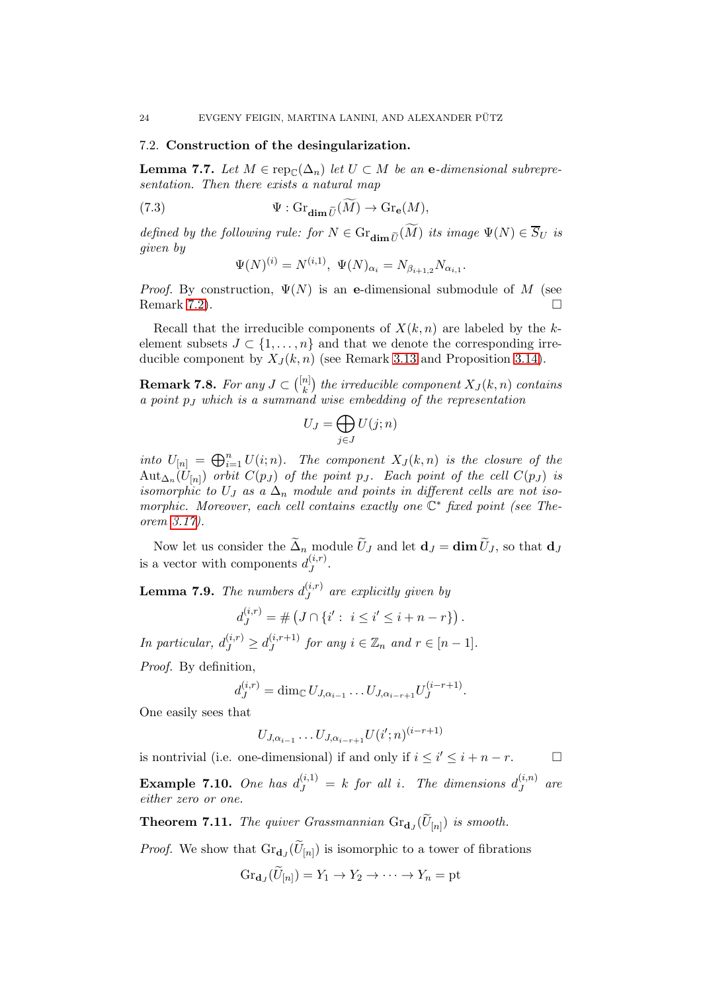#### 7.2. Construction of the desingularization.

**Lemma 7.7.** Let  $M \in \operatorname{rep}_{\mathbb{C}}(\Delta_n)$  let  $U \subset M$  be an e-dimensional subrepresentation. Then there exists a natural map

(7.3) 
$$
\Psi : \mathrm{Gr}_{\dim \widetilde{U}}(\widetilde{M}) \to \mathrm{Gr}_{\mathbf{e}}(M),
$$

defined by the following rule: for  $N \in \mathrm{Gr}_{\dim \widetilde{U}}(\widetilde{M})$  its image  $\Psi(N) \in \overline{S}_U$  is given by

$$
\Psi(N)^{(i)} = N^{(i,1)}, \ \Psi(N)_{\alpha_i} = N_{\beta_{i+1,2}} N_{\alpha_{i,1}}.
$$

*Proof.* By construction,  $\Psi(N)$  is an e-dimensional submodule of M (see Remark [7.2\)](#page-22-0).

Recall that the irreducible components of  $X(k, n)$  are labeled by the kelement subsets  $J \subset \{1, \ldots, n\}$  and that we denote the corresponding irreducible component by  $X_J(k, n)$  (see Remark [3.13](#page-11-2) and Proposition [3.14\)](#page-11-1).

**Remark 7.8.** For any  $J \subset \binom{[n]}{k}$  $\binom{n}{k}$  the irreducible component  $X_J(k,n)$  contains a point  $p_j$  which is a summand wise embedding of the representation

$$
U_J = \bigoplus_{j \in J} U(j;n)
$$

into  $U_{[n]} = \bigoplus_{i=1}^n U(i; n)$ . The component  $X_J(k,n)$  is the closure of the  $\mathrm{Aut}_{\Delta_n}(U_{[n]})$  orbit  $C(p_J)$  of the point  $p_J$ . Each point of the cell  $C(p_J)$  is isomorphic to U<sub>J</sub> as a  $\Delta_n$  module and points in different cells are not isomorphic. Moreover, each cell contains exactly one  $\mathbb{C}^*$  fixed point (see Theorem [3.17\)](#page-12-1).

Now let us consider the  $\tilde{\Delta}_n$  module  $\tilde{U}_J$  and let  $\mathbf{d}_J = \dim \tilde{U}_J$ , so that  $\mathbf{d}_J$ is a vector with components  $d_I^{(i,r)}$  $J^{(i,r)}$  .

**Lemma 7.9.** The numbers  $d_I^{(i,r)}$  $J^{(i,r)}$  are explicitly given by

$$
d_J^{(i,r)} = \# \left( J \cap \{i' : i \leq i' \leq i + n - r \} \right).
$$

In particular,  $d_J^{(i,r)} \geq d_J^{(i,r+1)}$  $J^{(i,r+1)}$  for any  $i \in \mathbb{Z}_n$  and  $r \in [n-1]$ .

Proof. By definition,

$$
d_J^{(i,r)} = \dim_{\mathbb{C}} U_{J,\alpha_{i-1}} \dots U_{J,\alpha_{i-r+1}} U_J^{(i-r+1)}.
$$

One easily sees that

$$
U_{J,\alpha_{i-1}}\ldots U_{J,\alpha_{i-r+1}}U(i';n)^{(i-r+1)}
$$

is nontrivial (i.e. one-dimensional) if and only if  $i \leq i' \leq i + n - r$ .

**Example 7.10.** One has  $d_J^{(i,1)} = k$  for all i. The dimensions  $d_J^{(i,n)}$  $J^{(i,n)}$  are either zero or one.

<span id="page-23-0"></span>**Theorem 7.11.** The quiver Grassmannian  $\text{Gr}_{d_J}(U_{[n]})$  is smooth.

*Proof.* We show that  $\text{Gr}_{d_J}(U_{[n]})$  is isomorphic to a tower of fibrations

$$
Gr_{\mathbf{d}_J}(U_{[n]}) = Y_1 \to Y_2 \to \cdots \to Y_n = \text{pt}
$$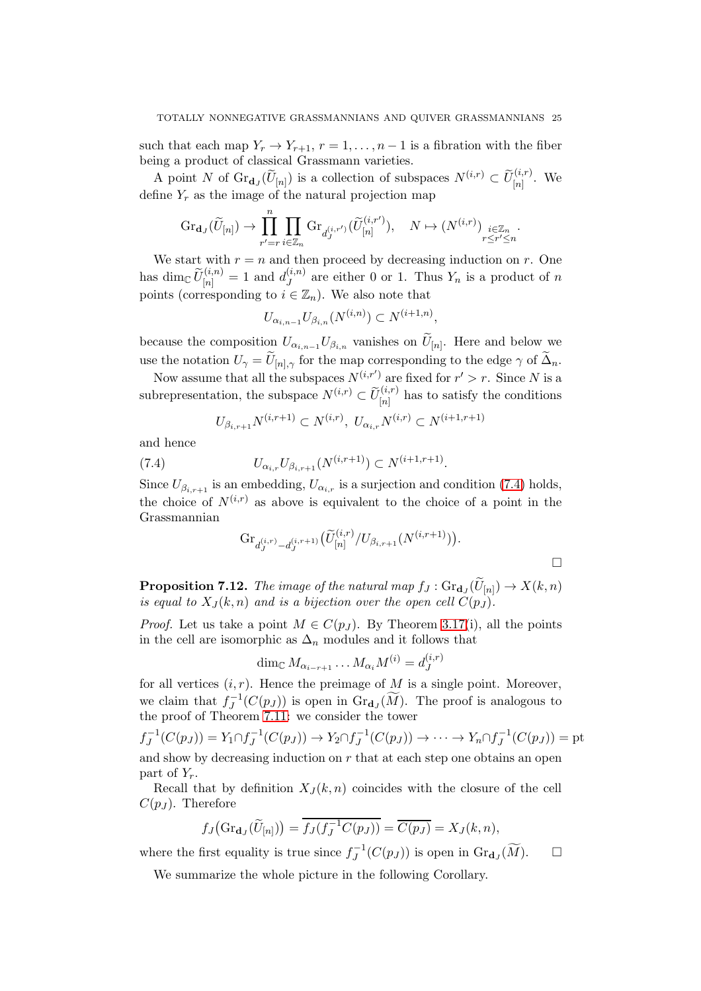such that each map  $Y_r \to Y_{r+1}, r = 1, \ldots, n-1$  is a fibration with the fiber being a product of classical Grassmann varieties.

A point N of  $\text{Gr}_{\mathbf{d}_J}(\widetilde{U}_{[n]})$  is a collection of subspaces  $N^{(i,r)} \subset \widetilde{U}_{[n]}^{(i,r)}$ . We define  $Y_r$  as the image of the natural projection map

$$
\textnormal{Gr}_{\mathbf{d}_{J}}(\widetilde{U}_{[n]})\rightarrow \prod_{r'=r}^{n}\prod_{i\in\mathbb{Z}_{n}}\textnormal{Gr}_{d_{J}^{(i,r')}}(\widetilde{U}_{[n]}^{(i,r')}),\quad N\mapsto \left(N^{(i,r)}\right)_{\substack{i\in\mathbb{Z}_{n}\\ r\leq r'\leq n}}.
$$

We start with  $r = n$  and then proceed by decreasing induction on r. One has dim $\mathbb{C} \widetilde{U}_{[n]}^{(i,n)} = 1$  and  $d_J^{(i,n)}$  $J^{(i,n)}$  are either 0 or 1. Thus  $Y_n$  is a product of n points (corresponding to  $i \in \mathbb{Z}_n$ ). We also note that

$$
U_{\alpha_{i,n-1}} U_{\beta_{i,n}}(N^{(i,n)}) \subset N^{(i+1,n)},
$$

because the composition  $U_{\alpha_{i,n-1}}U_{\beta_{i,n}}$  vanishes on  $U_{[n]}$ . Here and below we use the notation  $U_{\gamma} = U_{[n], \gamma}$  for the map corresponding to the edge  $\gamma$  of  $\Delta_n$ .

Now assume that all the subspaces  $N^{(i,r')}$  are fixed for  $r' > r$ . Since N is a subrepresentation, the subspace  $N^{(i,r)} \subset \widetilde{U}_{[n]}^{(i,r)}$  has to satisfy the conditions

<span id="page-24-0"></span>
$$
U_{\beta_{i,r+1}}N^{(i,r+1)} \subset N^{(i,r)}, \ U_{\alpha_i,r}N^{(i,r)} \subset N^{(i+1,r+1)}
$$

and hence

(7.4) 
$$
U_{\alpha_{i,r}} U_{\beta_{i,r+1}}(N^{(i,r+1)}) \subset N^{(i+1,r+1)}.
$$

Since  $U_{\beta_{i,r+1}}$  is an embedding,  $U_{\alpha_{i,r}}$  is a surjection and condition [\(7.4\)](#page-24-0) holds, the choice of  $N^{(i,r)}$  as above is equivalent to the choice of a point in the Grassmannian

$$
\text{Gr}_{d_J^{(i,r)} - d_J^{(i,r+1)}}(\widetilde{U}_{[n]}^{(i,r)}/U_{\beta_{i,r+1}}(N^{(i,r+1)})).
$$

**Proposition 7.12.** The image of the natural map  $f_J: \text{Gr}_{\textbf{d}_J}(U_{[n]}) \to X(k,n)$ is equal to  $X_J(k,n)$  and is a bijection over the open cell  $C(p_J)$ .

*Proof.* Let us take a point  $M \in C(p_J)$ . By Theorem [3.17\(](#page-12-1)i), all the points in the cell are isomorphic as  $\Delta_n$  modules and it follows that

$$
\dim_{\mathbb{C}} M_{\alpha_{i-r+1}} \dots M_{\alpha_i} M^{(i)} = d^{(i,r)}_J
$$

for all vertices  $(i, r)$ . Hence the preimage of M is a single point. Moreover, we claim that  $f_J^{-1}(C(p_J))$  is open in  $\text{Gr}_{d_J}(\widetilde{M})$ . The proof is analogous to the proof of Theorem [7.11:](#page-23-0) we consider the tower

$$
f_J^{-1}(C(p_J)) = Y_1 \cap f_J^{-1}(C(p_J)) \to Y_2 \cap f_J^{-1}(C(p_J)) \to \cdots \to Y_n \cap f_J^{-1}(C(p_J)) = \text{pt}
$$

and show by decreasing induction on  $r$  that at each step one obtains an open part of  $Y_r$ .

Recall that by definition  $X_{J}(k, n)$  coincides with the closure of the cell  $C(p_J)$ . Therefore

$$
f_J\big(\text{Gr}_{\mathbf{d}_J}(\widetilde{U}_{[n]})\big) = \overline{f_J(f_J^{-1}C(p_J))} = \overline{C(p_J)} = X_J(k,n),
$$

where the first equality is true since  $f_J^{-1}(C(p_J))$  is open in  $\text{Gr}_{\mathbf{d}_J}(\widetilde{M})$ .  $\Box$ 

We summarize the whole picture in the following Corollary.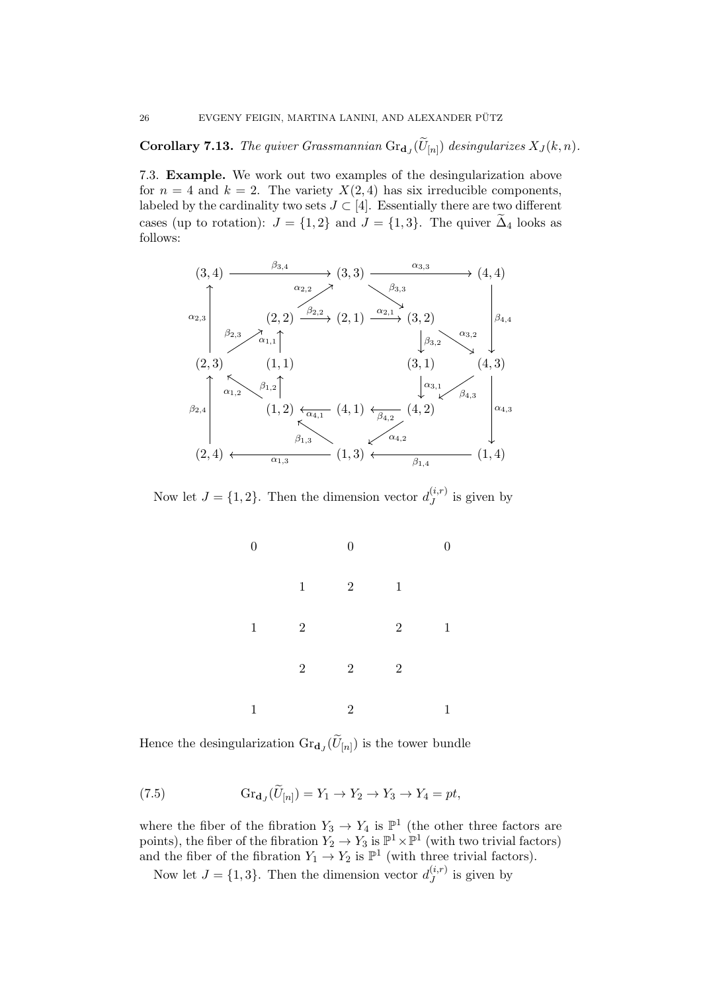**Corollary 7.13.** The quiver Grassmannian  $\text{Gr}_{\mathbf{d}_J}(U_{[n]})$  desingularizes  $X_J(k, n)$ .

7.3. Example. We work out two examples of the desingularization above for  $n = 4$  and  $k = 2$ . The variety  $X(2, 4)$  has six irreducible components, labeled by the cardinality two sets  $J \subset [4]$ . Essentially there are two different cases (up to rotation):  $J = \{1, 2\}$  and  $J = \{1, 3\}$ . The quiver  $\Delta_4$  looks as follows:



Now let  $J = \{1, 2\}$ . Then the dimension vector  $d_J^{(i,r)}$  $j^{(i,r)}$  is given by



Hence the desingularization  $\text{Gr}_{\mathbf{d}_J}(U_{[n]})$  is the tower bundle

<span id="page-25-0"></span>(7.5) 
$$
\operatorname{Gr}_{\mathbf{d}_J}(\widetilde{U}_{[n]}) = Y_1 \to Y_2 \to Y_3 \to Y_4 = pt,
$$

where the fiber of the fibration  $Y_3 \to Y_4$  is  $\mathbb{P}^1$  (the other three factors are points), the fiber of the fibration  $Y_2 \to Y_3$  is  $\mathbb{P}^1 \times \mathbb{P}^1$  (with two trivial factors) and the fiber of the fibration  $Y_1 \to Y_2$  is  $\mathbb{P}^1$  (with three trivial factors).

Now let  $J = \{1, 3\}$ . Then the dimension vector  $d_J^{(i,r)}$  $j^{(i,r)}$  is given by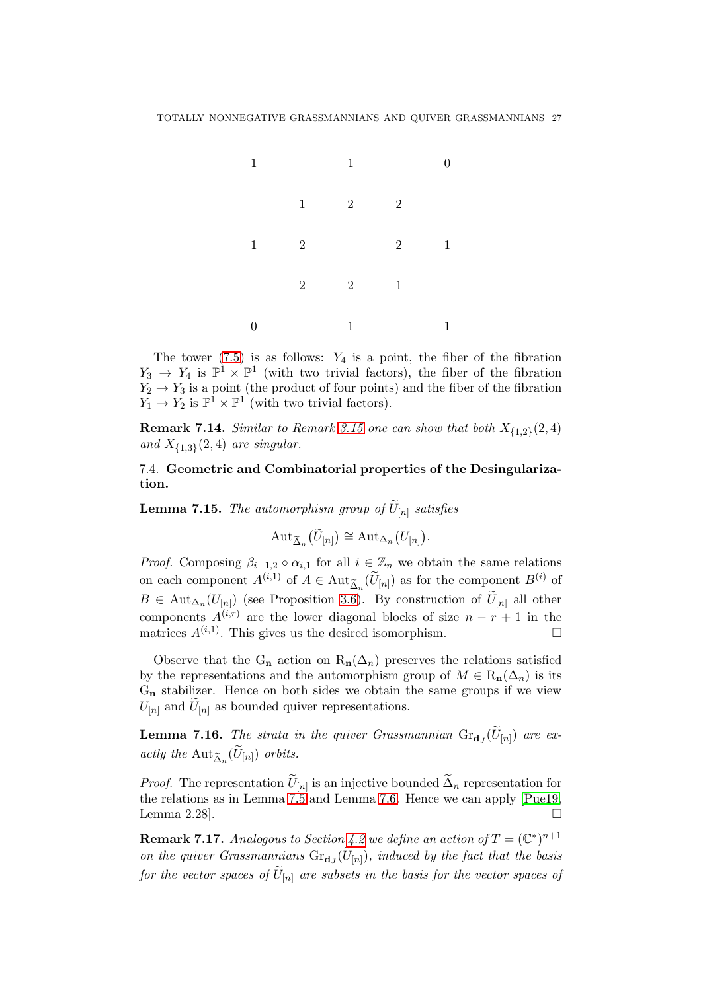

The tower  $(7.5)$  is as follows:  $Y_4$  is a point, the fiber of the fibration  $Y_3 \to Y_4$  is  $\mathbb{P}^1 \times \mathbb{P}^1$  (with two trivial factors), the fiber of the fibration  $Y_2 \rightarrow Y_3$  is a point (the product of four points) and the fiber of the fibration  $Y_1 \to Y_2$  is  $\mathbb{P}^1 \times \mathbb{P}^1$  (with two trivial factors).

**Remark 7.14.** Similar to Remark [3.15](#page-12-2) one can show that both  $X_{\{1,2\}}(2,4)$ and  $X_{\{1,3\}}(2,4)$  are singular.

7.4. Geometric and Combinatorial properties of the Desingularization.

<span id="page-26-0"></span>**Lemma 7.15.** The automorphism group of  $U_{[n]}$  satisfies

$$
\mathrm{Aut}_{\widetilde{\Delta}_n}(\widetilde{U}_{[n]}) \cong \mathrm{Aut}_{\Delta_n}(U_{[n]}).
$$

*Proof.* Composing  $\beta_{i+1,2} \circ \alpha_{i,1}$  for all  $i \in \mathbb{Z}_n$  we obtain the same relations on each component  $A^{(i,1)}$  of  $A \in \text{Aut}_{\tilde{\Delta}_n}(\tilde{U}_{[n]})$  as for the component  $B^{(i)}$  of  $B \in \text{Aut}_{\Delta_n}(U_{[n]})$  (see Proposition [3.6\)](#page-9-1). By construction of  $U_{[n]}$  all other components  $A^{(i,r)}$  are the lower diagonal blocks of size  $n - r + 1$  in the matrices  $A^{(i,1)}$ . This gives us the desired isomorphism.

Observe that the G<sub>n</sub> action on  $R_n(\Delta_n)$  preserves the relations satisfied by the representations and the automorphism group of  $M \in R_n(\Delta_n)$  is its  $G_n$  stabilizer. Hence on both sides we obtain the same groups if we view  $U_{[n]}$  and  $U_{[n]}$  as bounded quiver representations.

**Lemma 7.16.** The strata in the quiver Grassmannian  $\text{Gr}_{\mathbf{d}_J}(U_{[n]})$  are exactly the  $\mathrm{Aut}_{\widetilde{\Delta}_n}(U_{[n]})$  orbits.

*Proof.* The representation  $U_{[n]}$  is an injective bounded  $\Delta_n$  representation for the relations as in Lemma [7.5](#page-22-1) and Lemma [7.6.](#page-22-2) Hence we can apply [\[Pue19,](#page-32-12) Lemma 2.28].  $\square$ 

**Remark 7.17.** Analogous to Section [4.2](#page-13-0) we define an action of  $T = (\mathbb{C}^*)^{n+1}$ on the quiver Grassmannians  $\text{Gr}_{d_J}(U_{[n]})$ , induced by the fact that the basis for the vector spaces of  $U_{[n]}$  are subsets in the basis for the vector spaces of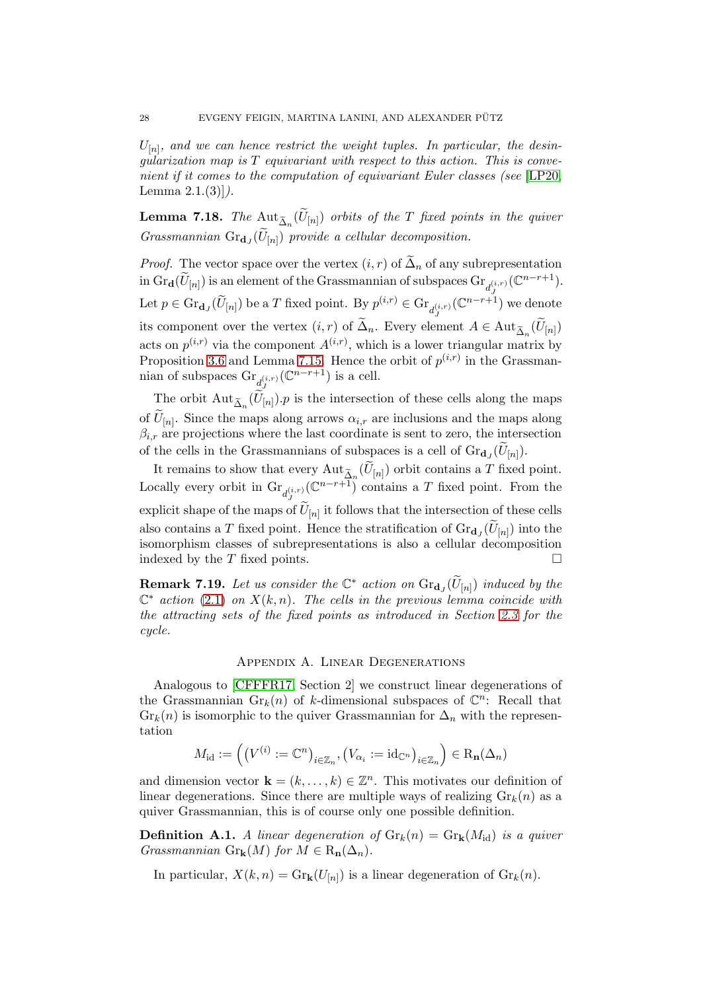$U_{[n]}$ , and we can hence restrict the weight tuples. In particular, the desinqularization map is  $T$  equivariant with respect to this action. This is convenient if it comes to the computation of equivariant Euler classes (see [\[LP20,](#page-31-7) Lemma  $2.1.(3)$ ].

**Lemma 7.18.** The  $\text{Aut}_{\widetilde{\Delta}_n}(U_{[n]})$  orbits of the T fixed points in the quiver Grassmannian  $\text{Gr}_{\mathbf{d}_J}(U_{[n]})$  provide a cellular decomposition.

*Proof.* The vector space over the vertex  $(i, r)$  of  $\tilde{\Delta}_n$  of any subrepresentation in  $\mathrm{Gr}_{\mathbf{d}}(\widetilde{U}_{[n]})$  is an element of the Grassmannian of subspaces  $\mathrm{Gr}_{d_{I}^{(i,r)}}(\mathbb{C}^{n-r+1})$ . J Let  $p \in \text{Gr}_{\mathbf{d}_J}(\widetilde{U}_{[n]})$  be a  $T$  fixed point. By  $p^{(i,r)} \in \text{Gr}_{d^{(i,r)}_J}(\mathbb{C}^{n-r+1})$  we denote its component over the vertex  $(i, r)$  of  $\Delta_n$ . Every element  $A \in \text{Aut}_{\tilde{\Delta}_n}(U_{[n]})$ acts on  $p^{(i,r)}$  via the component  $A^{(i,r)}$ , which is a lower triangular matrix by Proposition [3.6](#page-9-1) and Lemma [7.15.](#page-26-0) Hence the orbit of  $p^{(i,r)}$  in the Grassmannian of subspaces  $\text{Gr}_{d_{J}^{(i,r)}}(\mathbb{C}^{n-r+1})$  is a cell.

The orbit  $\text{Aut}_{\tilde{\Delta}_n}(U_{[n]})\cdot p$  is the intersection of these cells along the maps of  $U_{[n]}$ . Since the maps along arrows  $\alpha_{i,r}$  are inclusions and the maps along  $\beta_{i,r}$  are projections where the last coordinate is sent to zero, the intersection of the cells in the Grassmannians of subspaces is a cell of  $\mathrm{Gr}_{\mathbf{d}_J}(U_{[n]})$ .

It remains to show that every  $\text{Aut}_{\widetilde{\Delta}_n}(U_{[n]})$  orbit contains a T fixed point. Locally every orbit in  $\text{Gr}_{d_j^{(i,r)}}(\mathbb{C}^{n-r+1})$  contains a T fixed point. From the explicit shape of the maps of  $U_{[n]}$  it follows that the intersection of these cells also contains a T fixed point. Hence the stratification of  $\text{Gr}_{d_J}(U_{[n]})$  into the isomorphism classes of subrepresentations is also a cellular decomposition indexed by the  $T$  fixed points.  $\Box$ 

**Remark 7.19.** Let us consider the  $\mathbb{C}^*$  action on  $\text{Gr}_{d_J}(\widetilde{U}_{[n]})$  induced by the  $\mathbb{C}^*$  action [\(2.1\)](#page-7-1) on  $X(k,n)$ . The cells in the previous lemma coincide with the attracting sets of the fixed points as introduced in Section [2.3](#page-6-0) for the cycle.

# Appendix A. Linear Degenerations

Analogous to [\[CFFFR17,](#page-31-11) Section 2] we construct linear degenerations of the Grassmannian  $\mathrm{Gr}_k(n)$  of k-dimensional subspaces of  $\mathbb{C}^n$ : Recall that  $Gr_k(n)$  is isomorphic to the quiver Grassmannian for  $\Delta_n$  with the representation

$$
M_{\mathrm{id}} := \left(\left(V^{(i)}:={\mathbb{C}}^n\right)_{i\in\mathbb{Z}_n}, \left(V_{\alpha_i}:=\mathrm{id}_{{\mathbb{C}}^n}\right)_{i\in\mathbb{Z}_n}\right) \in \mathrm{R}_{\mathbf{n}}(\Delta_n)
$$

and dimension vector  $\mathbf{k} = (k, \dots, k) \in \mathbb{Z}^n$ . This motivates our definition of linear degenerations. Since there are multiple ways of realizing  $\mathrm{Gr}_k(n)$  as a quiver Grassmannian, this is of course only one possible definition.

**Definition A.1.** A linear degeneration of  $\text{Gr}_k(n) = \text{Gr}_k(M_{id})$  is a quiver Grassmannian Gr<sub>k</sub> $(M)$  for  $M \in R_n(\Delta_n)$ .

In particular,  $X(k, n) = \text{Gr}_{k}(U_{[n]})$  is a linear degeneration of  $\text{Gr}_{k}(n)$ .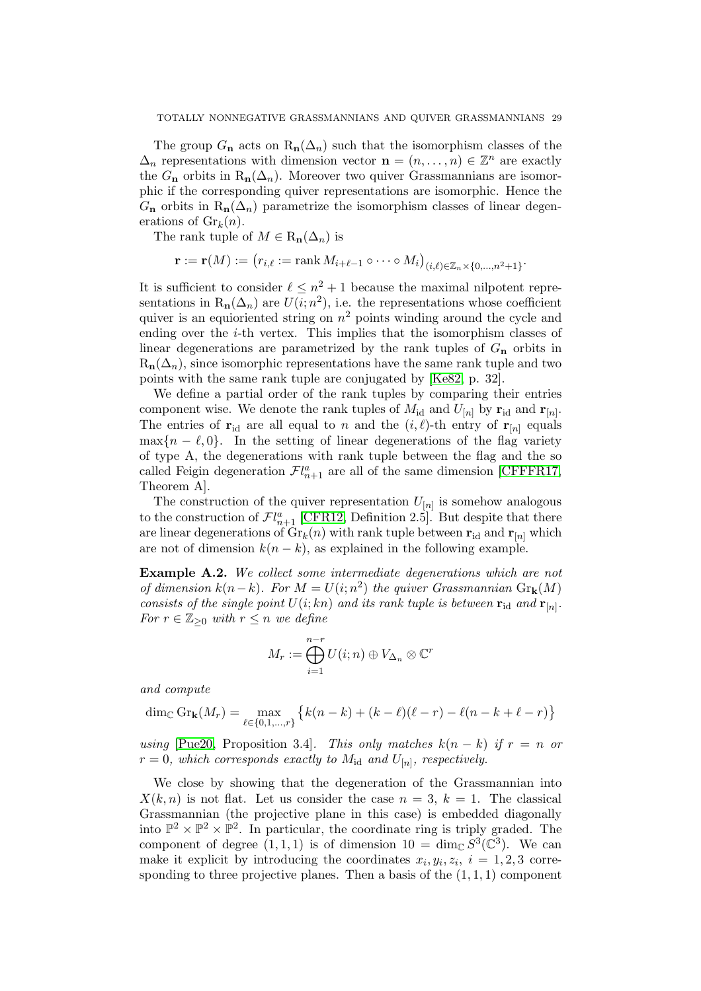The group  $G_n$  acts on  $R_n(\Delta_n)$  such that the isomorphism classes of the  $\Delta_n$  representations with dimension vector  $\mathbf{n} = (n, \dots, n) \in \mathbb{Z}^n$  are exactly the  $G_n$  orbits in  $R_n(\Delta_n)$ . Moreover two quiver Grassmannians are isomorphic if the corresponding quiver representations are isomorphic. Hence the  $G_n$  orbits in  $R_n(\Delta_n)$  parametrize the isomorphism classes of linear degenerations of  $\mathrm{Gr}_k(n)$ .

The rank tuple of  $M \in R_n(\Delta_n)$  is

$$
\mathbf{r} := \mathbf{r}(M) := \left( r_{i,\ell} := \mathrm{rank}\, M_{i+\ell-1} \circ \cdots \circ M_i \right)_{(i,\ell) \in \mathbb{Z}_n \times \{0,\ldots,n^2+1\}}.
$$

It is sufficient to consider  $\ell \leq n^2 + 1$  because the maximal nilpotent representations in  $R_n(\Delta_n)$  are  $U(i; n^2)$ , i.e. the representations whose coefficient quiver is an equioriented string on  $n^2$  points winding around the cycle and ending over the  $i$ -th vertex. This implies that the isomorphism classes of linear degenerations are parametrized by the rank tuples of  $G_n$  orbits in  $R_n(\Delta_n)$ , since isomorphic representations have the same rank tuple and two points with the same rank tuple are conjugated by [\[Ke82,](#page-31-17) p. 32].

We define a partial order of the rank tuples by comparing their entries component wise. We denote the rank tuples of  $M_{\rm id}$  and  $U_{[n]}$  by  ${\bf r}_{\rm id}$  and  ${\bf r}_{[n]}$ . The entries of  $\mathbf{r}_{id}$  are all equal to n and the  $(i, \ell)$ -th entry of  $\mathbf{r}_{[n]}$  equals  $\max\{n-\ell,0\}$ . In the setting of linear degenerations of the flag variety of type A, the degenerations with rank tuple between the flag and the so called Feigin degeneration  $\mathcal{F}l_{n+1}^a$  are all of the same dimension [\[CFFFR17,](#page-31-11) Theorem A].

The construction of the quiver representation  $U_{[n]}$  is somehow analogous to the construction of  $\mathcal{F}l_{n+1}^a$  [\[CFR12,](#page-31-9) Definition 2.5]. But despite that there are linear degenerations of  $\mathrm{Gr}_k(n)$  with rank tuple between  $\mathbf{r}_{\text{id}}$  and  $\mathbf{r}_{[n]}$  which are not of dimension  $k(n - k)$ , as explained in the following example.

Example A.2. We collect some intermediate degenerations which are not of dimension  $k(n-k)$ . For  $M = U(i; n^2)$  the quiver Grassmannian  $\text{Gr}_k(M)$ consists of the single point  $U(i;kn)$  and its rank tuple is between  $\mathbf{r}_{id}$  and  $\mathbf{r}_{[n]}.$ For  $r \in \mathbb{Z}_{\geq 0}$  with  $r \leq n$  we define

$$
M_r := \bigoplus_{i=1}^{n-r} U(i; n) \oplus V_{\Delta_n} \otimes \mathbb{C}^r
$$

and compute

$$
\dim_{\mathbb{C}} \text{Gr}_{k}(M_{r}) = \max_{\ell \in \{0, 1, ..., r\}} \{k(n - k) + (k - \ell)(\ell - r) - \ell(n - k + \ell - r)\}
$$

using [\[Pue20,](#page-32-11) Proposition 3.4]. This only matches  $k(n - k)$  if  $r = n$  or  $r = 0$ , which corresponds exactly to  $M_{\rm id}$  and  $U_{[n]}$ , respectively.

We close by showing that the degeneration of the Grassmannian into  $X(k, n)$  is not flat. Let us consider the case  $n = 3, k = 1$ . The classical Grassmannian (the projective plane in this case) is embedded diagonally into  $\mathbb{P}^2 \times \mathbb{P}^2 \times \mathbb{P}^2$ . In particular, the coordinate ring is triply graded. The component of degree  $(1,1,1)$  is of dimension  $10 = \dim_{\mathbb{C}} S^3(\mathbb{C}^3)$ . We can make it explicit by introducing the coordinates  $x_i, y_i, z_i, i = 1, 2, 3$  corresponding to three projective planes. Then a basis of the  $(1, 1, 1)$  component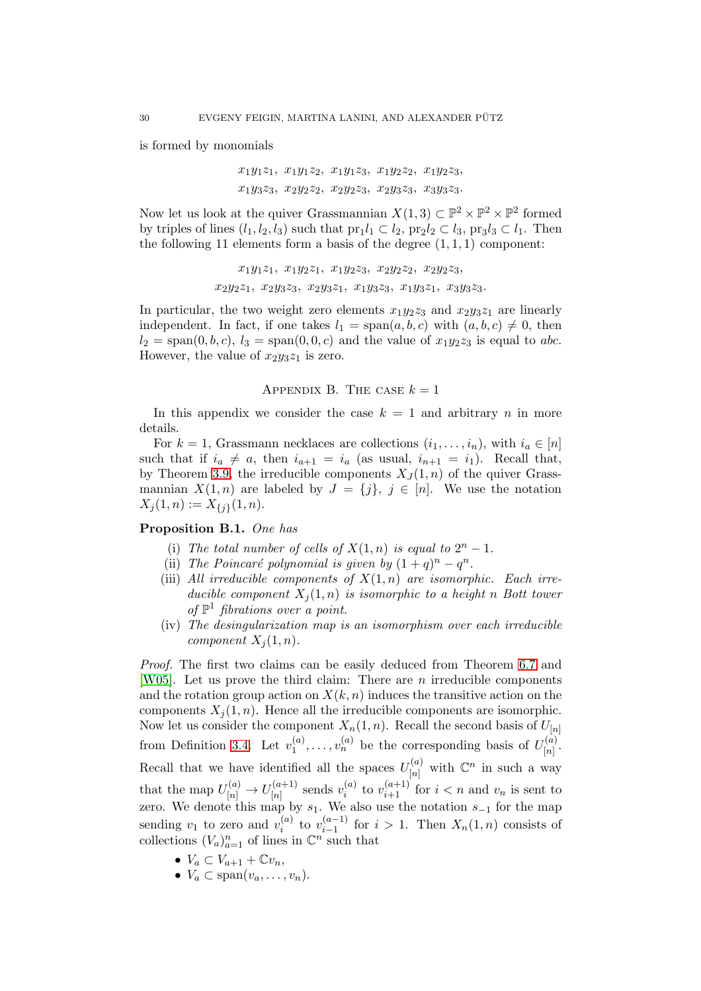is formed by monomials

 $x_1y_1z_1, x_1y_1z_2, x_1y_1z_3, x_1y_2z_2, x_1y_2z_3,$  $x_1y_3z_3, x_2y_2z_2, x_2y_2z_3, x_2y_3z_3, x_3y_3z_3.$ 

Now let us look at the quiver Grassmannian  $X(1,3) \subset \mathbb{P}^2 \times \mathbb{P}^2 \times \mathbb{P}^2$  formed by triples of lines  $(l_1, l_2, l_3)$  such that  $\text{pr}_1 l_1 \subset l_2$ ,  $\text{pr}_2 l_2 \subset l_3$ ,  $\text{pr}_3 l_3 \subset l_1$ . Then the following 11 elements form a basis of the degree  $(1, 1, 1)$  component:

```
x_1y_1z_1, x_1y_2z_1, x_1y_2z_3, x_2y_2z_2, x_2y_2z_3,x_2y_2z_1, x_2y_3z_3, x_2y_3z_1, x_1y_3z_3, x_1y_3z_1, x_3y_3z_3.
```
In particular, the two weight zero elements  $x_1y_2z_3$  and  $x_2y_3z_1$  are linearly independent. In fact, if one takes  $l_1 = \text{span}(a, b, c)$  with  $(a, b, c) \neq 0$ , then  $l_2 = \text{span}(0, b, c), l_3 = \text{span}(0, 0, c)$  and the value of  $x_1y_2z_3$  is equal to abc. However, the value of  $x_2y_3z_1$  is zero.

APPENDIX B. THE CASE  $k = 1$ 

In this appendix we consider the case  $k = 1$  and arbitrary n in more details.

For  $k = 1$ , Grassmann necklaces are collections  $(i_1, \ldots, i_n)$ , with  $i_a \in [n]$ such that if  $i_a \neq a$ , then  $i_{a+1} = i_a$  (as usual,  $i_{n+1} = i_1$ ). Recall that, by Theorem [3.9,](#page-10-1) the irreducible components  $X_J(1,n)$  of the quiver Grassmannian  $X(1,n)$  are labeled by  $J = \{j\},\ j \in [n]$ . We use the notation  $X_j(1,n) := X_{\{j\}}(1,n).$ 

# Proposition B.1. One has

- (i) The total number of cells of  $X(1, n)$  is equal to  $2^n 1$ .
- (ii) The Poincaré polynomial is given by  $(1+q)^n q^n$ .
- (iii) All irreducible components of  $X(1,n)$  are isomorphic. Each irreducible component  $X_i(1,n)$  is isomorphic to a height n Bott tower of  $\mathbb{P}^1$  fibrations over a point.
- <span id="page-29-0"></span>(iv) The desingularization map is an isomorphism over each irreducible component  $X_i(1, n)$ .

Proof. The first two claims can be easily deduced from Theorem [6.7](#page-20-0) and [\[W05\]](#page-32-5). Let us prove the third claim: There are n irreducible components and the rotation group action on  $X(k, n)$  induces the transitive action on the components  $X_j(1,n)$ . Hence all the irreducible components are isomorphic. Now let us consider the component  $X_n(1, n)$ . Recall the second basis of  $U_{[n]}$ from Definition 3.4. Let  $v_1^{(a)}$  $v_1^{(a)}, \ldots, v_n^{(a)}$  be the corresponding basis of  $U_{[n]}^{(a)}$  $\frac{(u)}{[n]}$ . Recall that we have identified all the spaces  $U_{[n]}^{(a)}$  $\binom{n}{n}$  with  $\mathbb{C}^n$  in such a way that the map  $U_{[n]}^{(a)} \to U_{[n]}^{(a+1)}$  $\binom{a+1}{[n]}$  sends  $v_i^{(a)}$  $\sum_{i=1}^{(a)}$  to  $v_{i+1}^{(a+1)}$  for  $i < n$  and  $v_n$  is sent to zero. We denote this map by  $s_1$ . We also use the notation  $s_{-1}$  for the map sending  $v_1$  to zero and  $v_i^{(a)}$  $\binom{a}{i}$  to  $v_{i-1}^{(a-1)}$ ero and  $v_i^{(a)}$  to  $v_{i-1}^{(a-1)}$  for  $i > 1$ . Then  $X_n(1,n)$  consists of  $n$ , of lines in  $\mathbb{C}^n$  such that collections  $(V_a)_{a=1}^n$  of lines in  $\mathbb{C}^n$  such that

- $V_a \subset V_{a+1} + \mathbb{C}v_n$ ,
- $V_a \subset \text{span}(v_a, \ldots, v_n)$ .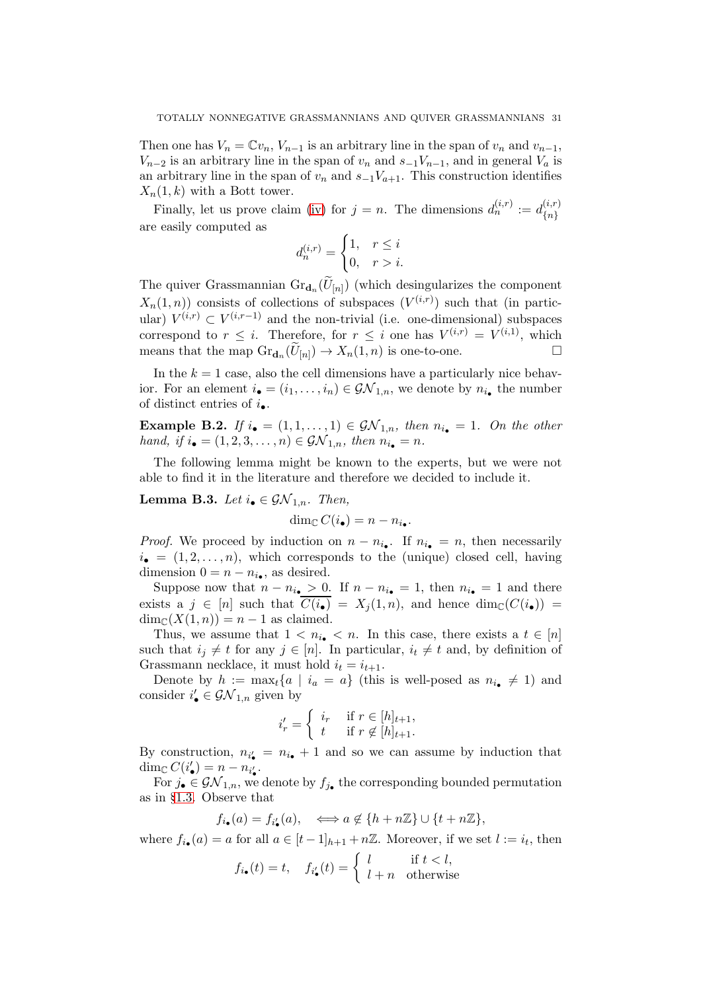Then one has  $V_n = \mathbb{C}v_n$ ,  $V_{n-1}$  is an arbitrary line in the span of  $v_n$  and  $v_{n-1}$ ,  $V_{n-2}$  is an arbitrary line in the span of  $v_n$  and  $s_{-1}V_{n-1}$ , and in general  $V_a$  is an arbitrary line in the span of  $v_n$  and  $s_{-1}V_{a+1}$ . This construction identifies  $X_n(1, k)$  with a Bott tower.

Finally, let us prove claim [\(iv\)](#page-29-0) for  $j = n$ . The dimensions  $d_n^{(i,r)} := d_{in}^{(i,r)}$  $\{n\}$ are easily computed as

$$
d_n^{(i,r)} = \begin{cases} 1, & r \leq i \\ 0, & r > i. \end{cases}
$$

The quiver Grassmannian  $\text{Gr}_{\mathbf{d}_n}(U_{[n]})$  (which desingularizes the component  $X_n(1,n)$  consists of collections of subspaces  $(V^{(i,r)})$  such that (in particular)  $V^{(i,r)} \subset V^{(i,r-1)}$  and the non-trivial (i.e. one-dimensional) subspaces correspond to  $r \leq i$ . Therefore, for  $r \leq i$  one has  $V^{(i,r)} = V^{(i,1)}$ , which means that the map  $\text{Gr}_{\mathbf{d}_n}(\widetilde{U}_{[n]}) \to X_n(1,n)$  is one-to-one.

In the  $k = 1$  case, also the cell dimensions have a particularly nice behavior. For an element  $i_{\bullet} = (i_1, \ldots, i_n) \in \mathcal{GN}_{1,n}$ , we denote by  $n_{i_{\bullet}}$  the number of distinct entries of  $i_{\bullet}$ .

**Example B.2.** If  $i_{\bullet} = (1, 1, \ldots, 1) \in \mathcal{GN}_{1,n}$ , then  $n_{i_{\bullet}} = 1$ . On the other hand, if  $i_{\bullet} = (1, 2, 3, \ldots, n) \in \mathcal{GN}_{1,n}$ , then  $n_{i_{\bullet}} = n$ .

The following lemma might be known to the experts, but we were not able to find it in the literature and therefore we decided to include it.

Lemma B.3. Let  $i_{\bullet} \in \mathcal{GN}_{1,n}$ . Then,

$$
\dim_{\mathbb{C}} C(i_{\bullet}) = n - n_{i_{\bullet}}.
$$

*Proof.* We proceed by induction on  $n - n_{i_{\bullet}}$ . If  $n_{i_{\bullet}} = n$ , then necessarily  $i_{\bullet} = (1, 2, \ldots, n)$ , which corresponds to the (unique) closed cell, having dimension  $0 = n - n_{i_{\bullet}},$  as desired.

Suppose now that  $n - n_{i_{\bullet}} > 0$ . If  $n - n_{i_{\bullet}} = 1$ , then  $n_{i_{\bullet}} = 1$  and there exists a  $j \in [n]$  such that  $C(i_{\bullet}) = X_i(1,n)$ , and hence  $\dim_{\mathbb{C}}(C(i_{\bullet})) =$  $\dim_{\mathbb{C}}(X(1,n)) = n-1$  as claimed.

Thus, we assume that  $1 < n_{i_{\bullet}} < n$ . In this case, there exists a  $t \in [n]$ such that  $i_j \neq t$  for any  $j \in [n]$ . In particular,  $i_t \neq t$  and, by definition of Grassmann necklace, it must hold  $i_t = i_{t+1}$ .

Denote by  $h := \max_t \{a \mid i_a = a\}$  (this is well-posed as  $n_{i_{\bullet}} \neq 1$ ) and consider  $i'_{\bullet} \in \mathcal{GN}_{1,n}$  given by

$$
i'_r = \begin{cases} i_r & \text{if } r \in [h]_{t+1}, \\ t & \text{if } r \notin [h]_{t+1}. \end{cases}
$$

By construction,  $n_{i'_{\bullet}} = n_{i_{\bullet}} + 1$  and so we can assume by induction that dim<sub> $\mathbb{C} C(i'_{\bullet}) = n - n_{i'_{\bullet}}$ .</sub>

For  $j_{\bullet} \in \mathcal{GN}_{1,n}$ , we denote by  $f_{j_{\bullet}}$  the corresponding bounded permutation as in §[1.3.](#page-4-0) Observe that

$$
f_{i_{\bullet}}(a) = f_{i'_{\bullet}}(a), \quad \Longleftrightarrow a \notin \{h + n\mathbb{Z}\} \cup \{t + n\mathbb{Z}\},\
$$

where  $f_{i_{\bullet}}(a) = a$  for all  $a \in [t-1]_{h+1} + n\mathbb{Z}$ . Moreover, if we set  $l := i_t$ , then

$$
f_{i\bullet}(t) = t, \quad f_{i\bullet}'(t) = \begin{cases} l & \text{if } t < l, \\ l + n & \text{otherwise} \end{cases}
$$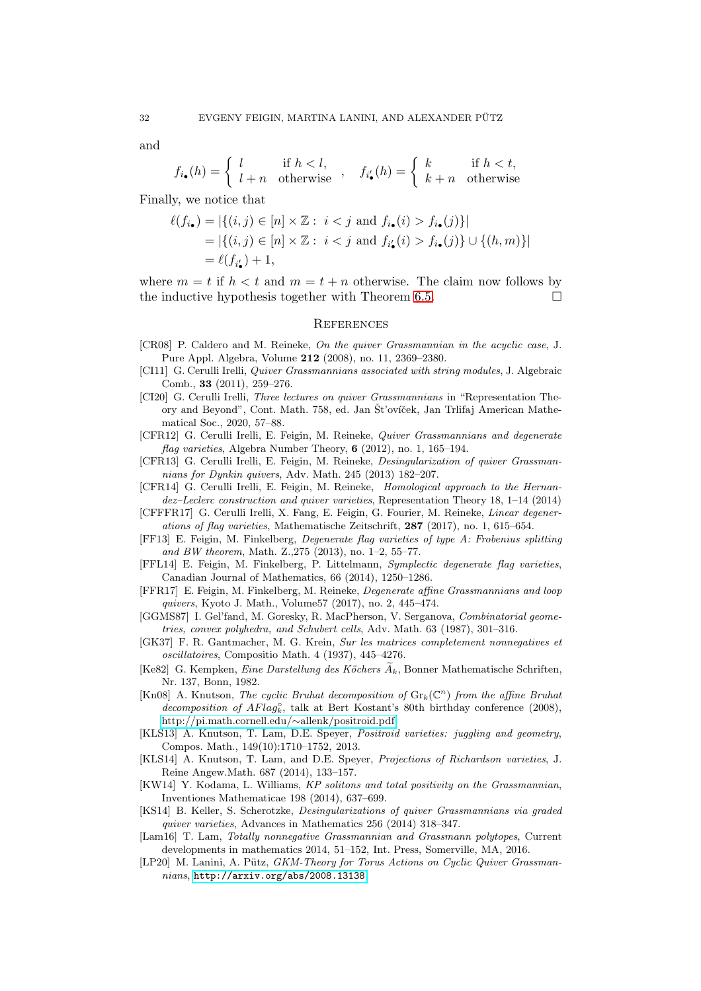and

$$
f_{i\bullet}(h) = \begin{cases} l & \text{if } h < l, \\ l+n & \text{otherwise} \end{cases}, \quad f_{i\bullet}'(h) = \begin{cases} k & \text{if } h < t, \\ k+n & \text{otherwise} \end{cases}
$$

Finally, we notice that

$$
\ell(f_{i\bullet}) = |\{(i,j) \in [n] \times \mathbb{Z} : i < j \text{ and } f_{i\bullet}(i) > f_{i\bullet}(j)\}|
$$
  
= |\{(i,j) \in [n] \times \mathbb{Z} : i < j \text{ and } f\_{i\bullet}'(i) > f\_{i\bullet}(j)\} \cup \{(h,m)\}|  
= \ell(f\_{i\bullet}') + 1,

where  $m = t$  if  $h < t$  and  $m = t + n$  otherwise. The claim now follows by the inductive hypothesis together with Theorem [6.5.](#page-20-1)

#### **REFERENCES**

- <span id="page-31-10"></span>[CR08] P. Caldero and M. Reineke, On the quiver Grassmannian in the acyclic case, J. Pure Appl. Algebra, Volume 212 (2008), no. 11, 2369–2380.
- <span id="page-31-8"></span>[CI11] G. Cerulli Irelli, *Quiver Grassmannians associated with string modules*, J. Algebraic Comb., 33 (2011), 259–276.
- <span id="page-31-5"></span>[CI20] G. Cerulli Irelli, Three lectures on quiver Grassmannians in "Representation Theory and Beyond", Cont. Math. 758, ed. Jan Št'ovíček, Jan Trlifaj American Mathematical Soc., 2020, 57–88.
- <span id="page-31-9"></span>[CFR12] G. Cerulli Irelli, E. Feigin, M. Reineke, Quiver Grassmannians and degenerate flag varieties, Algebra Number Theory, 6 (2012), no. 1, 165–194.
- <span id="page-31-12"></span>[CFR13] G. Cerulli Irelli, E. Feigin, M. Reineke, Desingularization of quiver Grassmannians for Dynkin quivers, Adv. Math. 245 (2013) 182–207.
- <span id="page-31-13"></span>[CFR14] G. Cerulli Irelli, E. Feigin, M. Reineke, Homological approach to the Hernandez–Leclerc construction and quiver varieties, Representation Theory 18, 1–14 (2014)
- <span id="page-31-11"></span>[CFFFR17] G. Cerulli Irelli, X. Fang, E. Feigin, G. Fourier, M. Reineke, Linear degenerations of flag varieties, Mathematische Zeitschrift, 287 (2017), no. 1, 615–654.
- <span id="page-31-14"></span>[FF13] E. Feigin, M. Finkelberg, Degenerate flag varieties of type A: Frobenius splitting and BW theorem, Math. Z.,275 (2013), no. 1–2, 55–77.
- <span id="page-31-15"></span>[FFL14] E. Feigin, M. Finkelberg, P. Littelmann, Symplectic degenerate flag varieties, Canadian Journal of Mathematics, 66 (2014), 1250–1286.
- [FFR17] E. Feigin, M. Finkelberg, M. Reineke, Degenerate affine Grassmannians and loop quivers, Kyoto J. Math., Volume57 (2017), no. 2, 445–474.
- <span id="page-31-6"></span>[GGMS87] I. Gel'fand, M. Goresky, R. MacPherson, V. Serganova, Combinatorial geometries, convex polyhedra, and Schubert cells, Adv. Math. 63 (1987), 301–316.
- <span id="page-31-0"></span>[GK37] F. R. Gantmacher, M. G. Krein, Sur les matrices completement nonnegatives et oscillatoires, Compositio Math. 4 (1937), 445–4276.
- <span id="page-31-17"></span>[Ke82] G. Kempken, Eine Darstellung des Köchers  $A_k$ , Bonner Mathematische Schriften, Nr. 137, Bonn, 1982.
- <span id="page-31-4"></span>[Kn08] A. Knutson, The cyclic Bruhat decomposition of  $\mathrm{Gr}_k(\mathbb{C}^n)$  from the affine Bruhat  $decomposition$  of  $AFlag^{\circ}_{k}$ , talk at Bert Kostant's 80th birthday conference (2008), [http://pi.math.cornell.edu/](http://pi.math.cornell.edu/~allenk/positroid.pdf)∼allenk/positroid.pdf
- <span id="page-31-2"></span>[KLS13] A. Knutson, T. Lam, D.E. Speyer, Positroid varieties: juggling and geometry, Compos. Math., 149(10):1710–1752, 2013.
- <span id="page-31-3"></span>[KLS14] A. Knutson, T. Lam, and D.E. Speyer, Projections of Richardson varieties, J. Reine Angew.Math. 687 (2014), 133–157.
- [KW14] Y. Kodama, L. Williams, KP solitons and total positivity on the Grassmannian, Inventiones Mathematicae 198 (2014), 637–699.
- <span id="page-31-16"></span>[KS14] B. Keller, S. Scherotzke, Desingularizations of quiver Grassmannians via graded quiver varieties, Advances in Mathematics 256 (2014) 318–347.
- <span id="page-31-1"></span>[Lam16] T. Lam, Totally nonnegative Grassmannian and Grassmann polytopes, Current developments in mathematics 2014, 51–152, Int. Press, Somerville, MA, 2016.
- <span id="page-31-7"></span>[LP20] M. Lanini, A. Pütz, GKM-Theory for Torus Actions on Cyclic Quiver Grassmannians, <http://arxiv.org/abs/2008.13138>.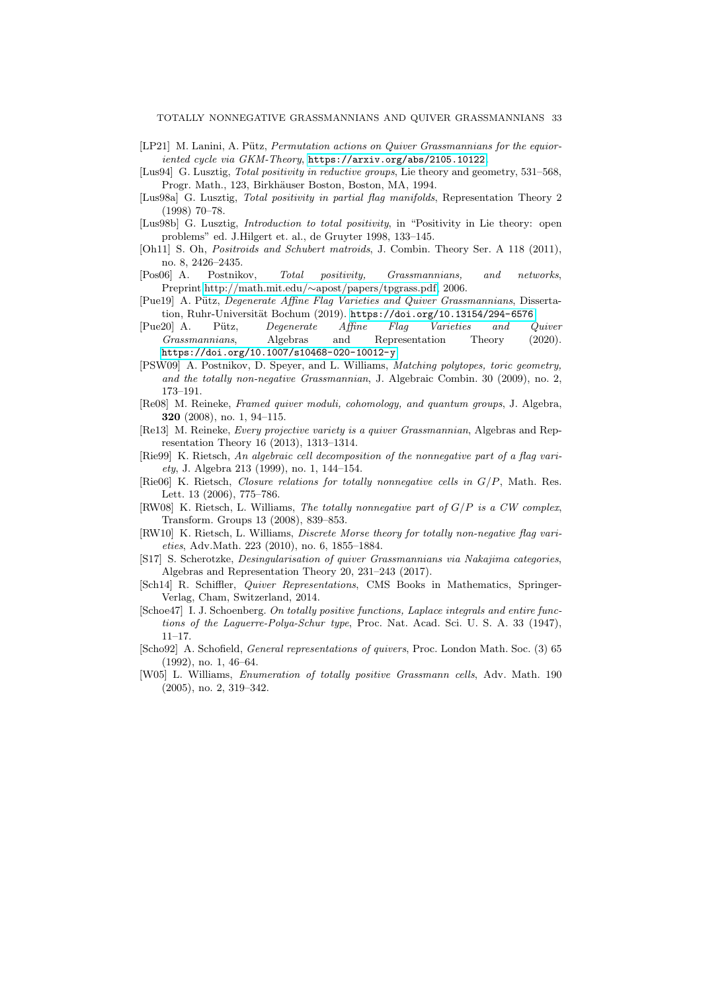- <span id="page-32-14"></span>[LP21] M. Lanini, A. Pütz, Permutation actions on Quiver Grassmannians for the equioriented cycle via GKM-Theory, <https://arxiv.org/abs/2105.10122>.
- <span id="page-32-1"></span>[Lus94] G. Lusztig, *Total positivity in reductive groups*, Lie theory and geometry, 531–568, Progr. Math., 123, Birkhäuser Boston, Boston, MA, 1994.
- <span id="page-32-2"></span>[Lus98a] G. Lusztig, Total positivity in partial flag manifolds, Representation Theory 2 (1998) 70–78.
- <span id="page-32-3"></span>[Lus98b] G. Lusztig, *Introduction to total positivity*, in "Positivity in Lie theory: open problems" ed. J.Hilgert et. al., de Gruyter 1998, 133–145.
- [Oh11] S. Oh, Positroids and Schubert matroids, J. Combin. Theory Ser. A 118 (2011), no. 8, 2426–2435.
- <span id="page-32-4"></span>[Pos06] A. Postnikov, Total positivity, Grassmannians, and networks, Preprint,http://math.mit.edu/∼[apost/papers/tpgrass.pdf,](http://math.mit.edu/~apost/papers/tpgrass.pdf) 2006.
- <span id="page-32-12"></span>[Pue19] A. Pütz, Degenerate Affine Flag Varieties and Quiver Grassmannians, Dissertation, Ruhr-Universität Bochum (2019). <https://doi.org/10.13154/294-6576>
- <span id="page-32-11"></span>[Pue20] A. Pütz, Degenerate Affine Flag Varieties and Quiver Grassmannians, Algebras and Representation Theory (2020). <https://doi.org/10.1007/s10468-020-10012-y>
- [PSW09] A. Postnikov, D. Speyer, and L. Williams, Matching polytopes, toric geometry, and the totally non-negative Grassmannian, J. Algebraic Combin. 30 (2009), no. 2, 173–191.
- <span id="page-32-13"></span>[Re08] M. Reineke, Framed quiver moduli, cohomology, and quantum groups, J. Algebra, 320 (2008), no. 1, 94–115.
- <span id="page-32-7"></span>[Re13] M. Reineke, Every projective variety is a quiver Grassmannian, Algebras and Representation Theory 16 (2013), 1313–1314.
- <span id="page-32-8"></span>[Rie99] K. Rietsch, An algebraic cell decomposition of the nonnegative part of a flag variety, J. Algebra 213 (1999), no. 1, 144–154.
- <span id="page-32-9"></span>[Rie06] K. Rietsch, Closure relations for totally nonnegative cells in G/P, Math. Res. Lett. 13 (2006), 775–786.
- [RW08] K. Rietsch, L. Williams, The totally nonnegative part of  $G/P$  is a CW complex, Transform. Groups 13 (2008), 839–853.
- [RW10] K. Rietsch, L. Williams, Discrete Morse theory for totally non-negative flag varieties, Adv.Math. 223 (2010), no. 6, 1855–1884.
- <span id="page-32-15"></span>[S17] S. Scherotzke, Desingularisation of quiver Grassmannians via Nakajima categories, Algebras and Representation Theory 20, 231–243 (2017).
- <span id="page-32-10"></span>[Sch14] R. Schiffler, Quiver Representations, CMS Books in Mathematics, Springer-Verlag, Cham, Switzerland, 2014.
- <span id="page-32-0"></span>[Schoe47] I. J. Schoenberg. On totally positive functions, Laplace integrals and entire functions of the Laguerre-Polya-Schur type, Proc. Nat. Acad. Sci. U. S. A. 33 (1947), 11–17.
- <span id="page-32-6"></span>[Scho92] A. Schofield, General representations of quivers, Proc. London Math. Soc. (3) 65 (1992), no. 1, 46–64.
- <span id="page-32-5"></span>[W05] L. Williams, Enumeration of totally positive Grassmann cells, Adv. Math. 190 (2005), no. 2, 319–342.